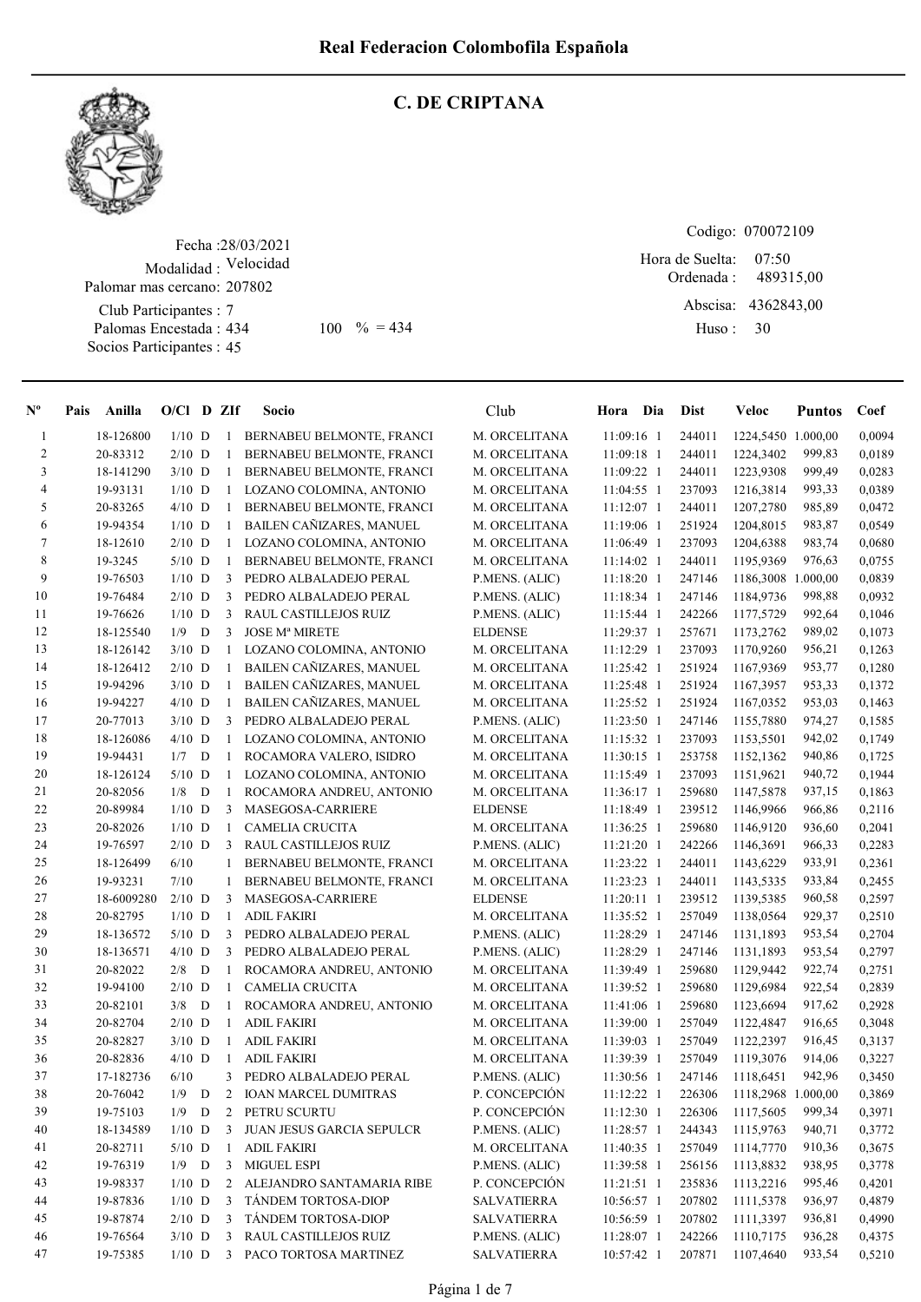

#### C. DE CRIPTANA

Fecha : 28/03/2021 Modalidad : Velocidad Palomar mas cercano: 207802

Club Participantes : 7 Palomas Encestada : Socios Participantes : 45

Codigo: 070072109

Ordenada : Abscisa: 4362843,00 Huso : 07:50 434 100  $\% = 434$  Huso: 30 Hora de Suelta: 489315,00

| $N^{\circ}$  | Pais Anilla | $O/Cl$ D ZIf |   |              | Socio                       | Club               | Hora Dia     | Dist   | Veloc              | <b>Puntos</b> | Coef   |
|--------------|-------------|--------------|---|--------------|-----------------------------|--------------------|--------------|--------|--------------------|---------------|--------|
| $\mathbf{1}$ | 18-126800   | $1/10$ D     |   | $\mathbf{1}$ | BERNABEU BELMONTE, FRANCI   | M. ORCELITANA      | 11:09:16 1   | 244011 | 1224,5450 1.000,00 |               | 0,0094 |
| $\sqrt{2}$   | 20-83312    | $2/10$ D     |   | 1            | BERNABEU BELMONTE, FRANCI   | M. ORCELITANA      | $11:09:18$ 1 | 244011 | 1224,3402          | 999,83        | 0,0189 |
| 3            | 18-141290   | $3/10$ D     |   | 1            | BERNABEU BELMONTE, FRANCI   | M. ORCELITANA      | 11:09:22 1   | 244011 | 1223,9308          | 999,49        | 0,0283 |
| 4            | 19-93131    | $1/10$ D     |   | $\mathbf{1}$ | LOZANO COLOMINA, ANTONIO    | M. ORCELITANA      | 11:04:55 1   | 237093 | 1216,3814          | 993,33        | 0,0389 |
| 5            | 20-83265    | $4/10$ D     |   | $\mathbf{1}$ | BERNABEU BELMONTE, FRANCI   | M. ORCELITANA      | 11:12:07 1   | 244011 | 1207,2780          | 985,89        | 0,0472 |
| 6            | 19-94354    | $1/10$ D     |   |              | 1 BAILEN CAÑIZARES, MANUEL  | M. ORCELITANA      | 11:19:06 1   | 251924 | 1204,8015          | 983,87        | 0,0549 |
| $\tau$       | 18-12610    | $2/10$ D     |   |              | 1 LOZANO COLOMINA, ANTONIO  | M. ORCELITANA      | 11:06:49 1   | 237093 | 1204,6388          | 983,74        | 0,0680 |
| 8            | 19-3245     | $5/10$ D     |   | $\mathbf{1}$ | BERNABEU BELMONTE, FRANCI   | M. ORCELITANA      | $11:14:02$ 1 | 244011 | 1195,9369          | 976,63        | 0,0755 |
| 9            | 19-76503    | $1/10$ D     |   | 3            | PEDRO ALBALADEJO PERAL      | P.MENS. (ALIC)     | 11:18:20 1   | 247146 | 1186,3008 1.000,00 |               | 0,0839 |
| 10           | 19-76484    | $2/10$ D     |   | 3            | PEDRO ALBALADEJO PERAL      | P.MENS. (ALIC)     | 11:18:34 1   | 247146 | 1184,9736          | 998,88        | 0,0932 |
| 11           | 19-76626    | $1/10$ D     |   | 3            | RAUL CASTILLEJOS RUIZ       | P.MENS. (ALIC)     | 11:15:44 1   | 242266 | 1177,5729          | 992,64        | 0,1046 |
| 12           | 18-125540   | 1/9          | D | 3            | <b>JOSE Mª MIRETE</b>       | <b>ELDENSE</b>     | 11:29:37 1   | 257671 | 1173,2762          | 989,02        | 0,1073 |
| 13           | 18-126142   | $3/10$ D     |   |              | 1 LOZANO COLOMINA, ANTONIO  | M. ORCELITANA      | $11:12:29$ 1 | 237093 | 1170,9260          | 956,21        | 0,1263 |
| 14           | 18-126412   | $2/10$ D     |   | $\mathbf{1}$ | BAILEN CAÑIZARES, MANUEL    | M. ORCELITANA      | 11:25:42 1   | 251924 | 1167,9369          | 953,77        | 0,1280 |
| 15           | 19-94296    | $3/10$ D     |   | 1            | BAILEN CAÑIZARES, MANUEL    | M. ORCELITANA      | 11:25:48 1   | 251924 | 1167,3957          | 953,33        | 0,1372 |
| 16           | 19-94227    | $4/10$ D     |   | $\mathbf{1}$ | BAILEN CAÑIZARES, MANUEL    | M. ORCELITANA      | 11:25:52 1   | 251924 | 1167,0352          | 953,03        | 0,1463 |
| 17           | 20-77013    | $3/10$ D     |   |              | 3 PEDRO ALBALADEJO PERAL    | P.MENS. (ALIC)     | $11:23:50$ 1 | 247146 | 1155,7880          | 974,27        | 0,1585 |
| 18           | 18-126086   | $4/10$ D     |   |              | 1 LOZANO COLOMINA, ANTONIO  | M. ORCELITANA      | 11:15:32 1   | 237093 | 1153,5501          | 942,02        | 0,1749 |
| 19           | 19-94431    | $1/7$ D      |   |              | 1 ROCAMORA VALERO, ISIDRO   | M. ORCELITANA      | 11:30:15 1   | 253758 | 1152,1362          | 940,86        | 0,1725 |
| 20           | 18-126124   | $5/10$ D     |   |              | 1 LOZANO COLOMINA, ANTONIO  | M. ORCELITANA      | $11:15:49$ 1 | 237093 | 1151,9621          | 940,72        | 0,1944 |
| 21           | 20-82056    | 1/8          | D | 1            | ROCAMORA ANDREU, ANTONIO    | M. ORCELITANA      | 11:36:17 1   | 259680 | 1147,5878          | 937,15        | 0,1863 |
| 22           | 20-89984    | $1/10$ D     |   | 3            | MASEGOSA-CARRIERE           | <b>ELDENSE</b>     | 11:18:49 1   | 239512 | 1146,9966          | 966,86        | 0,2116 |
| 23           | 20-82026    | $1/10$ D     |   | 1            | <b>CAMELIA CRUCITA</b>      | M. ORCELITANA      | 11:36:25 1   | 259680 | 1146,9120          | 936,60        | 0,2041 |
| 24           | 19-76597    | $2/10$ D     |   | 3            | RAUL CASTILLEJOS RUIZ       | P.MENS. (ALIC)     | 11:21:20 1   | 242266 | 1146,3691          | 966,33        | 0,2283 |
| 25           | 18-126499   | 6/10         |   | 1            | BERNABEU BELMONTE, FRANCI   | M. ORCELITANA      | 11:23:22 1   | 244011 | 1143,6229          | 933,91        | 0,2361 |
| 26           | 19-93231    | 7/10         |   | 1            | BERNABEU BELMONTE, FRANCI   | M. ORCELITANA      | $11:23:23$ 1 | 244011 | 1143,5335          | 933,84        | 0,2455 |
| $27\,$       | 18-6009280  | $2/10$ D     |   | 3            | MASEGOSA-CARRIERE           | <b>ELDENSE</b>     | $11:20:11$ 1 | 239512 | 1139,5385          | 960,58        | 0,2597 |
| 28           | 20-82795    | $1/10$ D     |   | 1            | <b>ADIL FAKIRI</b>          | M. ORCELITANA      | 11:35:52 1   | 257049 | 1138,0564          | 929,37        | 0,2510 |
| 29           | 18-136572   | $5/10$ D     |   | 3            | PEDRO ALBALADEJO PERAL      | P.MENS. (ALIC)     | 11:28:29 1   | 247146 | 1131,1893          | 953,54        | 0,2704 |
| 30           | 18-136571   | $4/10$ D     |   | 3            | PEDRO ALBALADEJO PERAL      | P.MENS. (ALIC)     | 11:28:29 1   | 247146 | 1131,1893          | 953,54        | 0,2797 |
| 31           | 20-82022    | 2/8          | D | 1            | ROCAMORA ANDREU, ANTONIO    | M. ORCELITANA      | 11:39:49 1   | 259680 | 1129,9442          | 922,74        | 0,2751 |
| 32           | 19-94100    | $2/10$ D     |   | 1            | CAMELIA CRUCITA             | M. ORCELITANA      | 11:39:52 1   | 259680 | 1129,6984          | 922,54        | 0,2839 |
| 33           | 20-82101    | 3/8          | D | 1            | ROCAMORA ANDREU, ANTONIO    | M. ORCELITANA      | 11:41:06 1   | 259680 | 1123,6694          | 917,62        | 0,2928 |
| 34           | 20-82704    | $2/10$ D     |   | $\mathbf{1}$ | <b>ADIL FAKIRI</b>          | M. ORCELITANA      | 11:39:00 1   | 257049 | 1122,4847          | 916,65        | 0,3048 |
| 35           | 20-82827    | $3/10$ D     |   | 1            | <b>ADIL FAKIRI</b>          | M. ORCELITANA      | 11:39:03 1   | 257049 | 1122,2397          | 916,45        | 0,3137 |
| 36           | 20-82836    | $4/10$ D     |   | -1           | <b>ADIL FAKIRI</b>          | M. ORCELITANA      | 11:39:39 1   | 257049 | 1119,3076          | 914,06        | 0,3227 |
| 37           | 17-182736   | 6/10         |   | 3            | PEDRO ALBALADEJO PERAL      | P.MENS. (ALIC)     | 11:30:56 1   | 247146 | 1118,6451          | 942,96        | 0,3450 |
| 38           | 20-76042    | 1/9          | D | 2            | <b>IOAN MARCEL DUMITRAS</b> | P. CONCEPCIÓN      | 11:12:22 1   | 226306 | 1118,2968 1.000,00 |               | 0,3869 |
| 39           | 19-75103    | 1/9          | D | 2            | PETRU SCURTU                | P. CONCEPCIÓN      | 11:12:30 1   | 226306 | 1117,5605          | 999,34        | 0,3971 |
| 40           | 18-134589   | $1/10$ D     |   | 3            | JUAN JESUS GARCIA SEPULCR   | P.MENS. (ALIC)     | 11:28:57 1   | 244343 | 1115,9763          | 940,71        | 0,3772 |
| 41           | 20-82711    | $5/10$ D     |   | 1            | <b>ADIL FAKIRI</b>          | M. ORCELITANA      | 11:40:35 1   | 257049 | 1114,7770          | 910,36        | 0,3675 |
| 42           | 19-76319    | $1/9$ D      |   | 3            | MIGUEL ESPI                 | P.MENS. (ALIC)     | 11:39:58 1   | 256156 | 1113,8832          | 938,95        | 0,3778 |
| 43           | 19-98337    | $1/10$ D     |   | 2            | ALEJANDRO SANTAMARIA RIBE   | P. CONCEPCIÓN      | 11:21:51 1   | 235836 | 1113,2216          | 995,46        | 0,4201 |
| 44           | 19-87836    | $1/10$ D     |   | 3            | TÁNDEM TORTOSA-DIOP         | <b>SALVATIERRA</b> | 10:56:57 1   | 207802 | 1111,5378          | 936,97        | 0,4879 |
| 45           | 19-87874    | $2/10$ D     |   | 3            | TÁNDEM TORTOSA-DIOP         | <b>SALVATIERRA</b> | 10:56:59 1   | 207802 | 1111,3397          | 936,81        | 0,4990 |
| 46           | 19-76564    | $3/10$ D     |   | 3            | RAUL CASTILLEJOS RUIZ       | P.MENS. (ALIC)     | 11:28:07 1   | 242266 | 1110,7175          | 936,28        | 0,4375 |
| 47           | 19-75385    | $1/10$ D     |   | 3            | PACO TORTOSA MARTINEZ       | <b>SALVATIERRA</b> | 10:57:42 1   | 207871 | 1107,4640          | 933,54        | 0,5210 |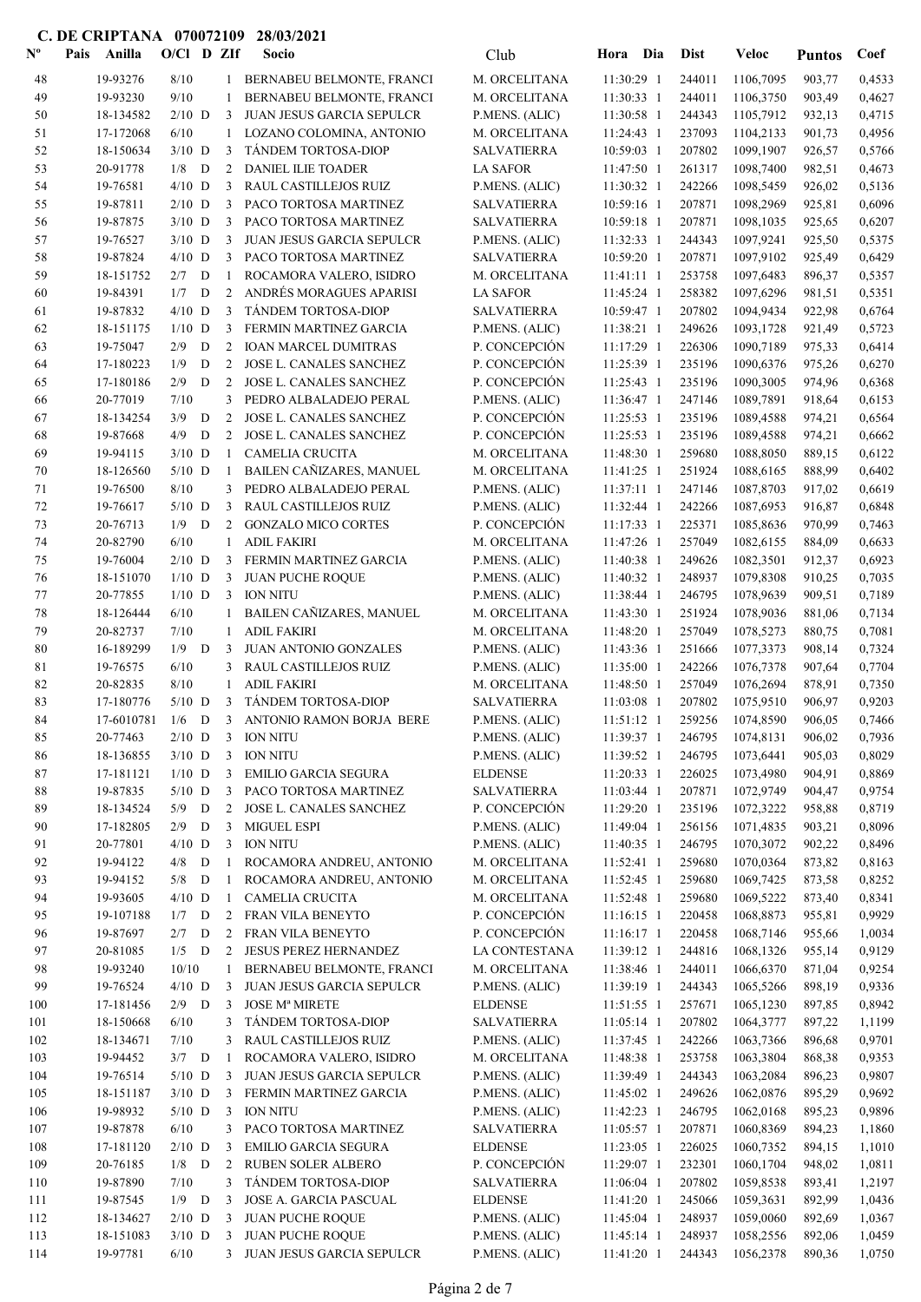| $\mathbf{N}^{\mathbf{o}}$ | Pais | Anilla                 | $O/Cl$ D ZIf         |             |                | Socio                                           | Club                                     | Hora                     | Dia | <b>Dist</b>      | Veloc                       | <b>Puntos</b>    | Coef             |
|---------------------------|------|------------------------|----------------------|-------------|----------------|-------------------------------------------------|------------------------------------------|--------------------------|-----|------------------|-----------------------------|------------------|------------------|
| 48                        |      | 19-93276               | 8/10                 |             |                | 1 BERNABEU BELMONTE, FRANCI                     | M. ORCELITANA                            | 11:30:29 1               |     | 244011           | 1106,7095                   | 903,77           | 0,4533           |
| 49                        |      | 19-93230               | 9/10                 |             | $\mathbf{1}$   | BERNABEU BELMONTE, FRANCI                       | M. ORCELITANA                            | 11:30:33 1               |     | 244011           | 1106,3750                   | 903,49           | 0,4627           |
| 50                        |      | 18-134582              | $2/10$ D             |             | 3              | <b>JUAN JESUS GARCIA SEPULCR</b>                | P.MENS. (ALIC)                           | 11:30:58 1               |     | 244343           | 1105,7912                   | 932,13           | 0,4715           |
| 51                        |      | 17-172068              | 6/10                 |             | 1              | LOZANO COLOMINA, ANTONIO                        | M. ORCELITANA                            | 11:24:43 1               |     | 237093           | 1104,2133                   | 901,73           | 0,4956           |
| 52                        |      | 18-150634              | $3/10$ D             |             | 3              | TÁNDEM TORTOSA-DIOP                             | <b>SALVATIERRA</b>                       | 10:59:03 1               |     | 207802           | 1099,1907                   | 926,57           | 0,5766           |
| 53                        |      | 20-91778               | $1/8$ D              |             | 2              | <b>DANIEL ILIE TOADER</b>                       | <b>LA SAFOR</b>                          | 11:47:50 1               |     | 261317           | 1098,7400                   | 982,51           | 0,4673           |
| 54                        |      | 19-76581               | $4/10$ D             |             | 3              | <b>RAUL CASTILLEJOS RUIZ</b>                    | P.MENS. (ALIC)                           | 11:30:32 1               |     | 242266           | 1098,5459                   | 926,02           | 0,5136           |
| 55<br>56                  |      | 19-87811<br>19-87875   | $2/10$ D<br>$3/10$ D |             | 3<br>3         | PACO TORTOSA MARTINEZ<br>PACO TORTOSA MARTINEZ  | <b>SALVATIERRA</b><br><b>SALVATIERRA</b> | 10:59:16 1<br>10:59:18 1 |     | 207871<br>207871 | 1098,2969<br>1098,1035      | 925,81<br>925,65 | 0,6096<br>0,6207 |
| 57                        |      | 19-76527               | $3/10$ D             |             | 3              | JUAN JESUS GARCIA SEPULCR                       | P.MENS. (ALIC)                           | 11:32:33 1               |     | 244343           | 1097,9241                   | 925,50           | 0,5375           |
| 58                        |      | 19-87824               | $4/10$ D             |             | 3              | PACO TORTOSA MARTINEZ                           | <b>SALVATIERRA</b>                       | 10:59:20 1               |     | 207871           | 1097,9102                   | 925,49           | 0,6429           |
| 59                        |      | 18-151752              | $2/7$ D              |             | -1             | ROCAMORA VALERO, ISIDRO                         | M. ORCELITANA                            | $11:41:11$ 1             |     | 253758           | 1097,6483                   | 896,37           | 0,5357           |
| 60                        |      | 19-84391               | 1/7                  | D           | $\overline{2}$ | ANDRÉS MORAGUES APARISI                         | <b>LA SAFOR</b>                          | 11:45:24 1               |     | 258382           | 1097,6296                   | 981,51           | 0,5351           |
| 61                        |      | 19-87832               | $4/10$ D             |             | 3              | TÁNDEM TORTOSA-DIOP                             | <b>SALVATIERRA</b>                       | 10:59:47 1               |     | 207802           | 1094,9434                   | 922,98           | 0,6764           |
| 62                        |      | 18-151175              | $1/10$ D             |             | 3              | FERMIN MARTINEZ GARCIA                          | P.MENS. (ALIC)                           | 11:38:21 1               |     | 249626           | 1093,1728                   | 921,49           | 0,5723           |
| 63                        |      | 19-75047               | 2/9                  | D           | 2              | <b>IOAN MARCEL DUMITRAS</b>                     | P. CONCEPCIÓN                            | 11:17:29 1               |     | 226306           | 1090,7189                   | 975,33           | 0,6414           |
| 64                        |      | 17-180223              | 1/9                  | $\mathbf D$ | $\overline{2}$ | JOSE L. CANALES SANCHEZ                         | P. CONCEPCIÓN                            | 11:25:39 1               |     | 235196           | 1090,6376                   | 975,26           | 0,6270           |
| 65                        |      | 17-180186              | 2/9                  | $\mathbf D$ | 2              | JOSE L. CANALES SANCHEZ                         | P. CONCEPCIÓN                            | 11:25:43 1               |     | 235196           | 1090,3005                   | 974,96           | 0,6368           |
| 66                        |      | 20-77019               | 7/10                 |             | 3              | PEDRO ALBALADEJO PERAL                          | P.MENS. (ALIC)                           | 11:36:47 1               |     | 247146           | 1089,7891                   | 918,64           | 0,6153           |
| 67                        |      | 18-134254              | 3/9                  | D           | $\overline{2}$ | JOSE L. CANALES SANCHEZ                         | P. CONCEPCIÓN                            | 11:25:53 1               |     | 235196           | 1089,4588                   | 974,21           | 0,6564           |
| 68                        |      | 19-87668               | 4/9                  | D           | $\overline{2}$ | JOSE L. CANALES SANCHEZ                         | P. CONCEPCIÓN                            | 11:25:53 1               |     | 235196           | 1089,4588                   | 974,21           | 0,6662           |
| 69                        |      | 19-94115               | $3/10$ D             |             | $\mathbf{1}$   | <b>CAMELIA CRUCITA</b>                          | M. ORCELITANA                            | 11:48:30 1               |     | 259680           | 1088,8050                   | 889,15           | 0,6122           |
| 70                        |      | 18-126560              | $5/10$ D             |             | -1             | BAILEN CAÑIZARES, MANUEL                        | M. ORCELITANA                            | 11:41:25 1               |     | 251924           | 1088,6165                   | 888,99           | 0,6402           |
| 71<br>72                  |      | 19-76500<br>19-76617   | $8/10$<br>$5/10$ D   |             | 3<br>3         | PEDRO ALBALADEJO PERAL<br>RAUL CASTILLEJOS RUIZ | P.MENS. (ALIC)<br>P.MENS. (ALIC)         | 11:37:11 1<br>11:32:44 1 |     | 247146<br>242266 | 1087,8703<br>1087,6953      | 917,02           | 0,6619<br>0,6848 |
| 73                        |      | 20-76713               | 1/9                  | D           | 2              | <b>GONZALO MICO CORTES</b>                      | P. CONCEPCIÓN                            | 11:17:33 1               |     | 225371           | 1085,8636                   | 916,87<br>970,99 | 0,7463           |
| 74                        |      | 20-82790               | 6/10                 |             | $\mathbf{1}$   | <b>ADIL FAKIRI</b>                              | M. ORCELITANA                            | 11:47:26 1               |     | 257049           | 1082,6155                   | 884,09           | 0,6633           |
| 75                        |      | 19-76004               | $2/10$ D             |             | 3              | FERMIN MARTINEZ GARCIA                          | P.MENS. (ALIC)                           | 11:40:38 1               |     | 249626           | 1082,3501                   | 912,37           | 0,6923           |
| 76                        |      | 18-151070              | $1/10$ D             |             | 3              | JUAN PUCHE ROQUE                                | P.MENS. (ALIC)                           | 11:40:32 1               |     | 248937           | 1079,8308                   | 910,25           | 0,7035           |
| 77                        |      | 20-77855               | $1/10$ D             |             | 3              | <b>ION NITU</b>                                 | P.MENS. (ALIC)                           | 11:38:44 1               |     | 246795           | 1078,9639                   | 909,51           | 0,7189           |
| 78                        |      | 18-126444              | 6/10                 |             | $\mathbf{1}$   | BAILEN CAÑIZARES, MANUEL                        | M. ORCELITANA                            | 11:43:30 1               |     | 251924           | 1078,9036                   | 881,06           | 0,7134           |
| 79                        |      | 20-82737               | 7/10                 |             | $\mathbf{1}$   | <b>ADIL FAKIRI</b>                              | M. ORCELITANA                            | 11:48:20 1               |     | 257049           | 1078,5273                   | 880,75           | 0,7081           |
| 80                        |      | 16-189299              | $1/9$ D              |             | 3              | <b>JUAN ANTONIO GONZALES</b>                    | P.MENS. (ALIC)                           | 11:43:36 1               |     | 251666           | 1077,3373                   | 908,14           | 0,7324           |
| 81                        |      | 19-76575               | 6/10                 |             | 3              | RAUL CASTILLEJOS RUIZ                           | P.MENS. (ALIC)                           | 11:35:00 1               |     | 242266           | 1076,7378                   | 907,64           | 0,7704           |
| 82                        |      | 20-82835               | 8/10                 |             | $\mathbf{1}$   | <b>ADIL FAKIRI</b>                              | M. ORCELITANA                            | 11:48:50 1               |     | 257049           | 1076,2694                   | 878,91           | 0,7350           |
| 83                        |      | 17-180776              | $5/10$ D             |             | 3              | TÁNDEM TORTOSA-DIOP                             | <b>SALVATIERRA</b>                       | 11:03:08 1               |     | 207802           | 1075,9510                   | 906,97           | 0,9203           |
| 84                        |      | 17-6010781             | $1/6$ D              |             |                | 3 ANTONIO RAMON BORJA BERE                      | P.MENS. (ALIC)                           | $11:51:12$ 1             |     | 259256           | 1074,8590                   | 906,05           | 0,7466           |
| 85                        |      | 20-77463               |                      |             |                | $2/10$ D $-3$ $\,$ ION NITU                     | P.MENS. (ALIC)<br>P.MENS. (ALIC)         | 11:39:52 1               |     |                  | 11:39:37 1 246795 1074,8131 | 906,02           | 0,7936<br>0,8029 |
| 86<br>87                  |      | 18-136855<br>17-181121 | $3/10$ D<br>$1/10$ D |             | 3<br>3         | <b>ION NITU</b><br><b>EMILIO GARCIA SEGURA</b>  | <b>ELDENSE</b>                           | 11:20:33 1               |     | 246795<br>226025 | 1073,6441<br>1073,4980      | 905,03<br>904,91 | 0,8869           |
| 88                        |      | 19-87835               | $5/10$ D             |             | 3              | PACO TORTOSA MARTINEZ                           | <b>SALVATIERRA</b>                       | $11:03:44$ 1             |     | 207871           | 1072,9749                   | 904,47           | 0,9754           |
| 89                        |      | 18-134524              | $5/9$ D              |             | $\overline{2}$ | JOSE L. CANALES SANCHEZ                         | P. CONCEPCIÓN                            | 11:29:20 1               |     | 235196           | 1072,3222                   | 958,88           | 0,8719           |
| 90                        |      | 17-182805              | $2/9$ D              |             | 3              | <b>MIGUEL ESPI</b>                              | P.MENS. (ALIC)                           | 11:49:04 1               |     | 256156           | 1071,4835                   | 903,21           | 0,8096           |
| 91                        |      | 20-77801               | $4/10$ D             |             | 3              | <b>ION NITU</b>                                 | P.MENS. (ALIC)                           | 11:40:35 1               |     | 246795           | 1070,3072                   | 902,22           | 0,8496           |
| 92                        |      | 19-94122               | $4/8$ D              |             | 1              | ROCAMORA ANDREU, ANTONIO                        | M. ORCELITANA                            | 11:52:41 1               |     | 259680           | 1070,0364                   | 873,82           | 0,8163           |
| 93                        |      | 19-94152               | $5/8$ D              |             | $\mathbf{1}$   | ROCAMORA ANDREU, ANTONIO                        | M. ORCELITANA                            | 11:52:45 1               |     | 259680           | 1069,7425                   | 873,58           | 0,8252           |
| 94                        |      | 19-93605               | $4/10$ D             |             | 1              | <b>CAMELIA CRUCITA</b>                          | M. ORCELITANA                            | 11:52:48 1               |     | 259680           | 1069,5222                   | 873,40           | 0,8341           |
| 95                        |      | 19-107188              | $1/7$ D              |             | 2              | FRAN VILA BENEYTO                               | P. CONCEPCIÓN                            | 11:16:15 1               |     | 220458           | 1068,8873                   | 955,81           | 0,9929           |
| 96                        |      | 19-87697               | $2/7$ D              |             | $\overline{2}$ | FRAN VILA BENEYTO                               | P. CONCEPCIÓN                            | 11:16:17 1               |     | 220458           | 1068,7146                   | 955,66           | 1,0034           |
| 97                        |      | 20-81085               | $1/5$ D              |             | $\overline{2}$ | JESUS PEREZ HERNANDEZ                           | LA CONTESTANA                            | 11:39:12 1               |     | 244816           | 1068,1326                   | 955,14           | 0,9129           |
| 98                        |      | 19-93240               | 10/10                |             | $\mathbf{1}$   | BERNABEU BELMONTE, FRANCI                       | M. ORCELITANA                            | 11:38:46 1               |     | 244011           | 1066,6370                   | 871,04           | 0,9254           |
| 99                        |      | 19-76524               | $4/10$ D<br>$2/9$ D  |             | 3              | JUAN JESUS GARCIA SEPULCR                       | P.MENS. (ALIC)                           | 11:39:19 1               |     | 244343           | 1065,5266                   | 898,19           | 0,9336           |
| 100<br>101                |      | 17-181456<br>18-150668 | 6/10                 |             | 3<br>3         | <b>JOSE Mª MIRETE</b><br>TÁNDEM TORTOSA-DIOP    | <b>ELDENSE</b><br><b>SALVATIERRA</b>     | 11:51:55 1<br>11:05:14 1 |     | 257671<br>207802 | 1065,1230<br>1064,3777      | 897,85<br>897,22 | 0,8942<br>1,1199 |
| 102                       |      | 18-134671              | 7/10                 |             | 3              | RAUL CASTILLEJOS RUIZ                           | P.MENS. (ALIC)                           | 11:37:45 1               |     | 242266           | 1063,7366                   | 896,68           | 0,9701           |
| 103                       |      | 19-94452               | $3/7$ D              |             | -1             | ROCAMORA VALERO, ISIDRO                         | M. ORCELITANA                            | 11:48:38 1               |     | 253758           | 1063,3804                   | 868,38           | 0,9353           |
| 104                       |      | 19-76514               | $5/10$ D             |             | 3              | JUAN JESUS GARCIA SEPULCR                       | P.MENS. (ALIC)                           | 11:39:49 1               |     | 244343           | 1063,2084                   | 896,23           | 0,9807           |
| 105                       |      | 18-151187              | $3/10$ D             |             | 3              | FERMIN MARTINEZ GARCIA                          | P.MENS. (ALIC)                           | $11:45:02$ 1             |     | 249626           | 1062,0876                   | 895,29           | 0,9692           |
| 106                       |      | 19-98932               | $5/10$ D             |             | 3              | <b>ION NITU</b>                                 | P.MENS. (ALIC)                           | 11:42:23 1               |     | 246795           | 1062,0168                   | 895,23           | 0,9896           |
| 107                       |      | 19-87878               | 6/10                 |             | 3              | PACO TORTOSA MARTINEZ                           | <b>SALVATIERRA</b>                       | 11:05:57 1               |     | 207871           | 1060,8369                   | 894,23           | 1,1860           |
| 108                       |      | 17-181120              | $2/10$ D             |             | 3              | <b>EMILIO GARCIA SEGURA</b>                     | <b>ELDENSE</b>                           | $11:23:05$ 1             |     | 226025           | 1060,7352                   | 894,15           | 1,1010           |
| 109                       |      | 20-76185               | $1/8$ D              |             | 2              | RUBEN SOLER ALBERO                              | P. CONCEPCIÓN                            | 11:29:07 1               |     | 232301           | 1060,1704                   | 948,02           | 1,0811           |
| 110                       |      | 19-87890               | 7/10                 |             | 3              | TÁNDEM TORTOSA-DIOP                             | <b>SALVATIERRA</b>                       | $11:06:04$ 1             |     | 207802           | 1059,8538                   | 893,41           | 1,2197           |
| 111                       |      | 19-87545               | $1/9$ D              |             | 3              | JOSE A. GARCIA PASCUAL                          | <b>ELDENSE</b>                           | 11:41:20 1               |     | 245066           | 1059,3631                   | 892,99           | 1,0436           |
| 112                       |      | 18-134627              | $2/10$ D             |             | 3              | JUAN PUCHE ROQUE                                | P.MENS. (ALIC)                           | 11:45:04 1               |     | 248937           | 1059,0060                   | 892,69           | 1,0367           |
| 113                       |      | 18-151083              | $3/10$ D             |             | 3              | JUAN PUCHE ROQUE                                | P.MENS. (ALIC)                           | 11:45:14 1               |     | 248937           | 1058,2556                   | 892,06           | 1,0459           |
| 114                       |      | 19-97781               | 6/10                 |             |                | 3 JUAN JESUS GARCIA SEPULCR                     | P.MENS. (ALIC)                           | 11:41:20 1               |     | 244343           | 1056,2378                   | 890,36           | 1,0750           |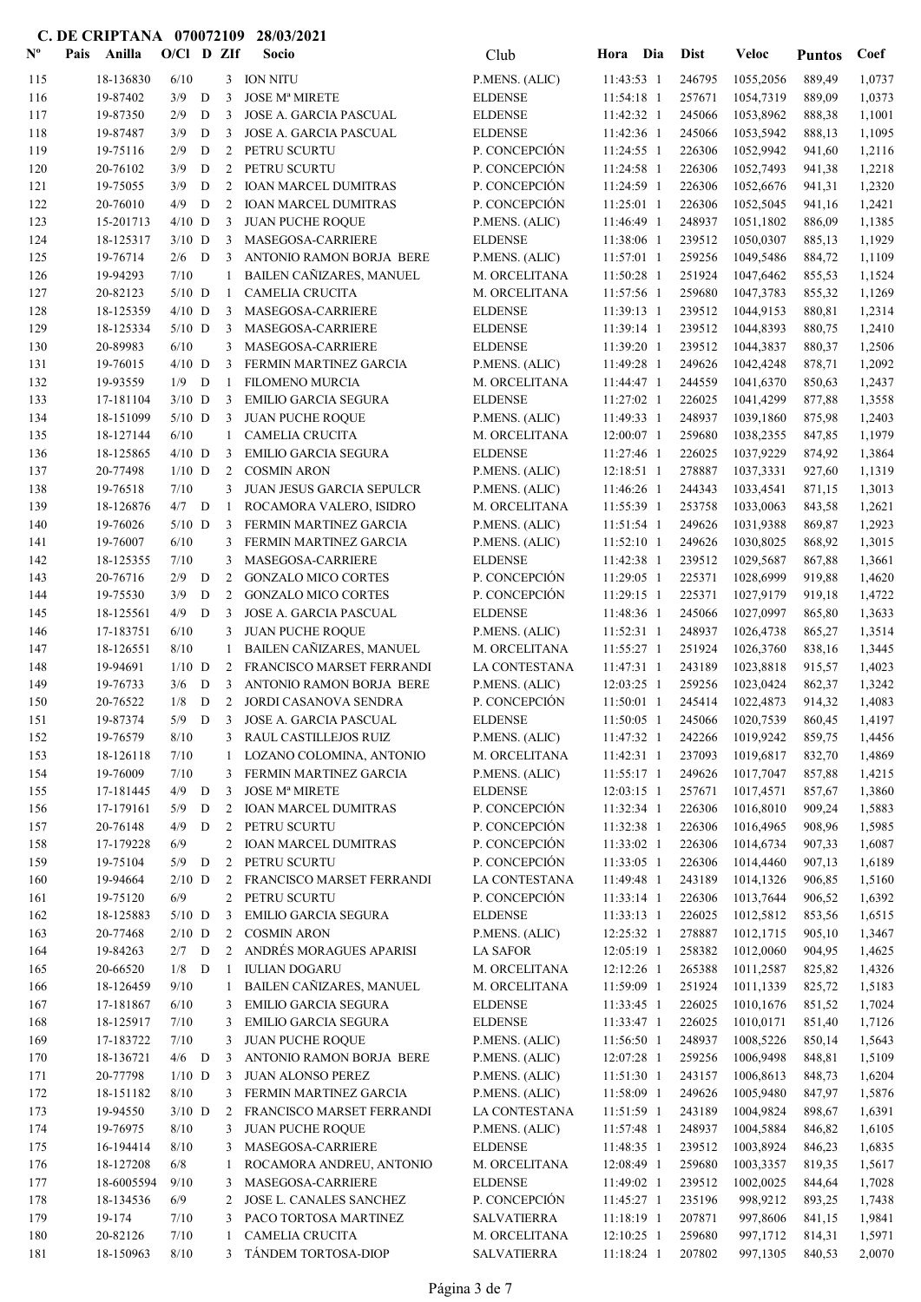| $\mathbf{N}^{\mathbf{o}}$ | Pais | Anilla                 | $O/Cl$ D ZIf         |             |                     | Socio                                                 | Club                             | Hora Dia                 |            | <b>Dist</b>      | Veloc                  | <b>Puntos</b>    | Coef             |
|---------------------------|------|------------------------|----------------------|-------------|---------------------|-------------------------------------------------------|----------------------------------|--------------------------|------------|------------------|------------------------|------------------|------------------|
| 115                       |      | 18-136830              | 6/10                 |             | 3                   | <b>ION NITU</b>                                       | P.MENS. (ALIC)                   | 11:43:53 1               |            | 246795           | 1055,2056              | 889,49           | 1,0737           |
| 116                       |      | 19-87402               | 3/9                  | D           | 3                   | <b>JOSE Mª MIRETE</b>                                 | <b>ELDENSE</b>                   | 11:54:18 1               |            | 257671           | 1054,7319              | 889,09           | 1,0373           |
| 117                       |      | 19-87350               | 2/9                  | $\mathbf D$ | 3                   | JOSE A. GARCIA PASCUAL                                | <b>ELDENSE</b>                   | 11:42:32 1               |            | 245066           | 1053,8962              | 888,38           | 1,1001           |
| 118                       |      | 19-87487               | 3/9                  | D           | 3                   | JOSE A. GARCIA PASCUAL                                | <b>ELDENSE</b>                   | 11:42:36 1               |            | 245066           | 1053,5942              | 888,13           | 1,1095           |
| 119                       |      | 19-75116               | 2/9                  | D           | 2                   | PETRU SCURTU                                          | P. CONCEPCIÓN                    | 11:24:55 1               |            | 226306           | 1052,9942              | 941,60           | 1,2116           |
| 120                       |      | 20-76102               | 3/9                  | D           | 2                   | PETRU SCURTU                                          | P. CONCEPCIÓN                    | 11:24:58 1               |            | 226306           | 1052,7493              | 941,38           | 1,2218           |
| 121                       |      | 19-75055               | 3/9                  | D           | 2                   | <b>IOAN MARCEL DUMITRAS</b>                           | P. CONCEPCIÓN                    | 11:24:59 1               |            | 226306           | 1052,6676              | 941,31           | 1,2320           |
| 122                       |      | 20-76010               | 4/9                  | D           | 2<br>3              | <b>IOAN MARCEL DUMITRAS</b>                           | P. CONCEPCIÓN                    | 11:25:01 1               |            | 226306           | 1052,5045<br>1051,1802 | 941,16           | 1,2421           |
| 123<br>124                |      | 15-201713<br>18-125317 | $4/10$ D<br>$3/10$ D |             | 3                   | <b>JUAN PUCHE ROQUE</b><br>MASEGOSA-CARRIERE          | P.MENS. (ALIC)<br><b>ELDENSE</b> | 11:46:49 1<br>11:38:06 1 |            | 248937<br>239512 | 1050,0307              | 886,09<br>885,13 | 1,1385<br>1,1929 |
| 125                       |      | 19-76714               | 2/6                  | D           | 3                   | ANTONIO RAMON BORJA BERE                              | P.MENS. (ALIC)                   | 11:57:01 1               |            | 259256           | 1049,5486              | 884,72           | 1,1109           |
| 126                       |      | 19-94293               | 7/10                 |             | 1                   | <b>BAILEN CAÑIZARES, MANUEL</b>                       | M. ORCELITANA                    | 11:50:28 1               |            | 251924           | 1047,6462              | 855,53           | 1,1524           |
| 127                       |      | 20-82123               | $5/10$ D             |             | -1                  | <b>CAMELIA CRUCITA</b>                                | M. ORCELITANA                    | 11:57:56 1               |            | 259680           | 1047,3783              | 855,32           | 1,1269           |
| 128                       |      | 18-125359              | $4/10$ D             |             | 3                   | MASEGOSA-CARRIERE                                     | <b>ELDENSE</b>                   | 11:39:13 1               |            | 239512           | 1044,9153              | 880,81           | 1,2314           |
| 129                       |      | 18-125334              | $5/10$ D             |             | 3                   | MASEGOSA-CARRIERE                                     | <b>ELDENSE</b>                   | 11:39:14 1               |            | 239512           | 1044,8393              | 880,75           | 1,2410           |
| 130                       |      | 20-89983               | 6/10                 |             | 3                   | MASEGOSA-CARRIERE                                     | <b>ELDENSE</b>                   | 11:39:20 1               |            | 239512           | 1044,3837              | 880,37           | 1,2506           |
| 131                       |      | 19-76015               | $4/10$ D             |             | 3                   | FERMIN MARTINEZ GARCIA                                | P.MENS. (ALIC)                   | 11:49:28 1               |            | 249626           | 1042,4248              | 878,71           | 1,2092           |
| 132                       |      | 19-93559               | 1/9                  | D           | -1                  | <b>FILOMENO MURCIA</b>                                | M. ORCELITANA                    | 11:44:47 1               |            | 244559           | 1041,6370              | 850,63           | 1,2437           |
| 133                       |      | 17-181104              | $3/10$ D             |             | 3                   | <b>EMILIO GARCIA SEGURA</b>                           | <b>ELDENSE</b>                   | 11:27:02 1               |            | 226025           | 1041,4299              | 877,88           | 1,3558           |
| 134                       |      | 18-151099              | $5/10$ D             |             | 3                   | <b>JUAN PUCHE ROQUE</b><br><b>CAMELIA CRUCITA</b>     | P.MENS. (ALIC)                   | 11:49:33 1               |            | 248937<br>259680 | 1039,1860              | 875,98           | 1,2403           |
| 135<br>136                |      | 18-127144<br>18-125865 | 6/10<br>$4/10$ D     |             | 1<br>3              | <b>EMILIO GARCIA SEGURA</b>                           | M. ORCELITANA<br><b>ELDENSE</b>  | 12:00:07 1<br>11:27:46 1 |            | 226025           | 1038,2355<br>1037,9229 | 847,85<br>874,92 | 1,1979<br>1,3864 |
| 137                       |      | 20-77498               | $1/10$ D             |             | 2                   | <b>COSMIN ARON</b>                                    | P.MENS. (ALIC)                   | $12:18:51$ 1             |            | 278887           | 1037,3331              | 927,60           | 1,1319           |
| 138                       |      | 19-76518               | 7/10                 |             | 3                   | JUAN JESUS GARCIA SEPULCR                             | P.MENS. (ALIC)                   | 11:46:26 1               |            | 244343           | 1033,4541              | 871,15           | 1,3013           |
| 139                       |      | 18-126876              | $4/7$ D              |             | -1                  | ROCAMORA VALERO, ISIDRO                               | M. ORCELITANA                    | 11:55:39 1               |            | 253758           | 1033,0063              | 843,58           | 1,2621           |
| 140                       |      | 19-76026               | $5/10$ D             |             | 3                   | FERMIN MARTINEZ GARCIA                                | P.MENS. (ALIC)                   | $11:51:54$ 1             |            | 249626           | 1031,9388              | 869,87           | 1,2923           |
| 141                       |      | 19-76007               | 6/10                 |             | 3                   | FERMIN MARTINEZ GARCIA                                | P.MENS. (ALIC)                   | 11:52:10 1               |            | 249626           | 1030,8025              | 868,92           | 1,3015           |
| 142                       |      | 18-125355              | 7/10                 |             | 3                   | MASEGOSA-CARRIERE                                     | <b>ELDENSE</b>                   | 11:42:38 1               |            | 239512           | 1029,5687              | 867,88           | 1,3661           |
| 143                       |      | 20-76716               | 2/9                  | D           | 2                   | <b>GONZALO MICO CORTES</b>                            | P. CONCEPCIÓN                    | 11:29:05 1               |            | 225371           | 1028,6999              | 919,88           | 1,4620           |
| 144                       |      | 19-75530               | 3/9                  | D           | 2                   | <b>GONZALO MICO CORTES</b>                            | P. CONCEPCIÓN                    | 11:29:15 1               |            | 225371           | 1027,9179              | 919,18           | 1,4722           |
| 145                       |      | 18-125561              | 4/9                  | D           | 3                   | <b>JOSE A. GARCIA PASCUAL</b>                         | <b>ELDENSE</b>                   | 11:48:36 1               |            | 245066           | 1027,0997              | 865,80           | 1,3633           |
| 146                       |      | 17-183751              | 6/10                 |             | 3                   | JUAN PUCHE ROQUE                                      | P.MENS. (ALIC)                   | 11:52:31 1               |            | 248937           | 1026,4738              | 865,27           | 1,3514           |
| 147                       |      | 18-126551              | 8/10                 |             | $\mathbf{1}$        | BAILEN CAÑIZARES, MANUEL                              | M. ORCELITANA                    | 11:55:27 1               |            | 251924           | 1026,3760<br>1023,8818 | 838,16           | 1,3445           |
| 148<br>149                |      | 19-94691<br>19-76733   | $1/10$ D<br>3/6      | D           | 2<br>3              | FRANCISCO MARSET FERRANDI<br>ANTONIO RAMON BORJA BERE | LA CONTESTANA<br>P.MENS. (ALIC)  | 11:47:31 1<br>12:03:25 1 |            | 243189<br>259256 | 1023,0424              | 915,57<br>862,37 | 1,4023<br>1,3242 |
| 150                       |      | 20-76522               | 1/8                  | D           | 2                   | JORDI CASANOVA SENDRA                                 | P. CONCEPCIÓN                    | 11:50:01 1               |            | 245414           | 1022,4873              | 914,32           | 1,4083           |
| 151                       |      | 19-87374               | 5/9                  | D           | 3                   | <b>JOSE A. GARCIA PASCUAL</b>                         | <b>ELDENSE</b>                   | 11:50:05 1               |            | 245066           | 1020,7539              | 860,45           | 1,4197           |
| 152                       |      | 19-76579               | $8/10$               |             |                     | 3 RAUL CASTILLEJOS RUIZ                               | P.MENS. (ALIC)                   |                          | 11:47:32 1 |                  | 242266 1019,9242       | 859,75           | 1,4456           |
| 153                       |      | 18-126118              | 7/10                 |             | $\mathbf{1}$        | LOZANO COLOMINA, ANTONIO                              | M. ORCELITANA                    | $11:42:31$ 1             |            | 237093           | 1019,6817              | 832,70           | 1,4869           |
| 154                       |      | 19-76009               | 7/10                 |             | 3                   | FERMIN MARTINEZ GARCIA                                | P.MENS. (ALIC)                   | 11:55:17 1               |            | 249626           | 1017,7047              | 857,88           | 1,4215           |
| 155                       |      | 17-181445              | $4/9$ D              |             | 3                   | <b>JOSE Mª MIRETE</b>                                 | <b>ELDENSE</b>                   | $12:03:15$ 1             |            | 257671           | 1017,4571              | 857,67           | 1,3860           |
| 156                       |      | 17-179161              | 5/9                  | D           |                     | 2 IOAN MARCEL DUMITRAS                                | P. CONCEPCIÓN                    | 11:32:34 1               |            | 226306           | 1016,8010              | 909,24           | 1,5883           |
| 157                       |      | 20-76148               | 4/9                  | D           | $2^{\circ}$         | PETRU SCURTU                                          | P. CONCEPCIÓN                    | 11:32:38 1               |            | 226306           | 1016,4965              | 908,96           | 1,5985           |
| 158                       |      | 17-179228              | 6/9                  |             | $\overline{2}$      | <b>IOAN MARCEL DUMITRAS</b>                           | P. CONCEPCIÓN                    | 11:33:02 1               |            | 226306           | 1014,6734              | 907,33           | 1,6087           |
| 159                       |      | 19-75104               | 5/9                  | D           | 2                   | PETRU SCURTU                                          | P. CONCEPCIÓN                    | 11:33:05 1               |            | 226306           | 1014,4460              | 907,13           | 1,6189           |
| 160<br>161                |      | 19-94664<br>19-75120   | $2/10$ D<br>6/9      |             | $\overline{2}$<br>2 | FRANCISCO MARSET FERRANDI<br>PETRU SCURTU             | LA CONTESTANA<br>P. CONCEPCIÓN   | 11:49:48 1<br>11:33:14 1 |            | 243189<br>226306 | 1014,1326<br>1013,7644 | 906,85<br>906,52 | 1,5160<br>1,6392 |
| 162                       |      | 18-125883              | $5/10$ D             |             | 3                   | <b>EMILIO GARCIA SEGURA</b>                           | <b>ELDENSE</b>                   | 11:33:13 1               |            | 226025           | 1012,5812              | 853,56           | 1,6515           |
| 163                       |      | 20-77468               | $2/10$ D             |             | $\overline{2}$      | <b>COSMIN ARON</b>                                    | P.MENS. (ALIC)                   | 12:25:32 1               |            | 278887           | 1012,1715              | 905,10           | 1,3467           |
| 164                       |      | 19-84263               | $2/7$ D              |             |                     | 2 ANDRÉS MORAGUES APARISI                             | <b>LA SAFOR</b>                  | 12:05:19 1               |            | 258382           | 1012,0060              | 904,95           | 1,4625           |
| 165                       |      | 20-66520               | $1/8$ D              |             | -1                  | <b>IULIAN DOGARU</b>                                  | M. ORCELITANA                    | 12:12:26 1               |            | 265388           | 1011,2587              | 825,82           | 1,4326           |
| 166                       |      | 18-126459              | 9/10                 |             | -1                  | BAILEN CAÑIZARES, MANUEL                              | M. ORCELITANA                    | 11:59:09 1               |            | 251924           | 1011,1339              | 825,72           | 1,5183           |
| 167                       |      | 17-181867              | 6/10                 |             | 3                   | <b>EMILIO GARCIA SEGURA</b>                           | <b>ELDENSE</b>                   | $11:33:45$ 1             |            | 226025           | 1010,1676              | 851,52           | 1,7024           |
| 168                       |      | 18-125917              | 7/10                 |             | 3                   | <b>EMILIO GARCIA SEGURA</b>                           | <b>ELDENSE</b>                   | 11:33:47 1               |            | 226025           | 1010,0171              | 851,40           | 1,7126           |
| 169                       |      | 17-183722              | $7/10$               |             | 3                   | <b>JUAN PUCHE ROQUE</b>                               | P.MENS. (ALIC)                   | 11:56:50 1               |            | 248937           | 1008,5226              | 850,14           | 1,5643           |
| 170                       |      | 18-136721              | $4/6$ D              |             | 3                   | ANTONIO RAMON BORJA BERE                              | P.MENS. (ALIC)                   | 12:07:28 1               |            | 259256           | 1006,9498              | 848,81           | 1,5109           |
| 171                       |      | 20-77798               | $1/10$ D             |             | 3                   | JUAN ALONSO PEREZ                                     | P.MENS. (ALIC)                   | 11:51:30 1               |            | 243157           | 1006,8613              | 848,73           | 1,6204           |
| 172                       |      | 18-151182              | 8/10<br>$3/10$ D     |             | 3<br>2              | FERMIN MARTINEZ GARCIA<br>FRANCISCO MARSET FERRANDI   | P.MENS. (ALIC)<br>LA CONTESTANA  | 11:58:09 1               |            | 249626<br>243189 | 1005,9480<br>1004,9824 | 847,97<br>898,67 | 1,5876           |
| 173<br>174                |      | 19-94550<br>19-76975   | 8/10                 |             | 3                   | <b>JUAN PUCHE ROQUE</b>                               | P.MENS. (ALIC)                   | 11:51:59 1<br>11:57:48 1 |            | 248937           | 1004,5884              | 846,82           | 1,6391<br>1,6105 |
| 175                       |      | 16-194414              | 8/10                 |             | 3                   | MASEGOSA-CARRIERE                                     | <b>ELDENSE</b>                   | 11:48:35 1               |            | 239512           | 1003,8924              | 846,23           | 1,6835           |
| 176                       |      | 18-127208              | 6/8                  |             | -1                  | ROCAMORA ANDREU, ANTONIO                              | M. ORCELITANA                    | 12:08:49 1               |            | 259680           | 1003,3357              | 819,35           | 1,5617           |
| 177                       |      | 18-6005594             | 9/10                 |             | 3                   | MASEGOSA-CARRIERE                                     | <b>ELDENSE</b>                   | 11:49:02 1               |            | 239512           | 1002,0025              | 844,64           | 1,7028           |
| 178                       |      | 18-134536              | 6/9                  |             | 2                   | JOSE L. CANALES SANCHEZ                               | P. CONCEPCIÓN                    | 11:45:27 1               |            | 235196           | 998,9212               | 893,25           | 1,7438           |
| 179                       |      | 19-174                 | 7/10                 |             | 3                   | PACO TORTOSA MARTINEZ                                 | <b>SALVATIERRA</b>               | 11:18:19 1               |            | 207871           | 997,8606               | 841,15           | 1,9841           |
| 180                       |      | 20-82126               | 7/10                 |             | 1                   | <b>CAMELIA CRUCITA</b>                                | M. ORCELITANA                    | 12:10:25 1               |            | 259680           | 997,1712               | 814,31           | 1,5971           |
| 181                       |      | 18-150963              | 8/10                 |             |                     | 3 TÁNDEM TORTOSA-DIOP                                 | <b>SALVATIERRA</b>               | 11:18:24 1               |            | 207802           | 997,1305               | 840,53           | 2,0070           |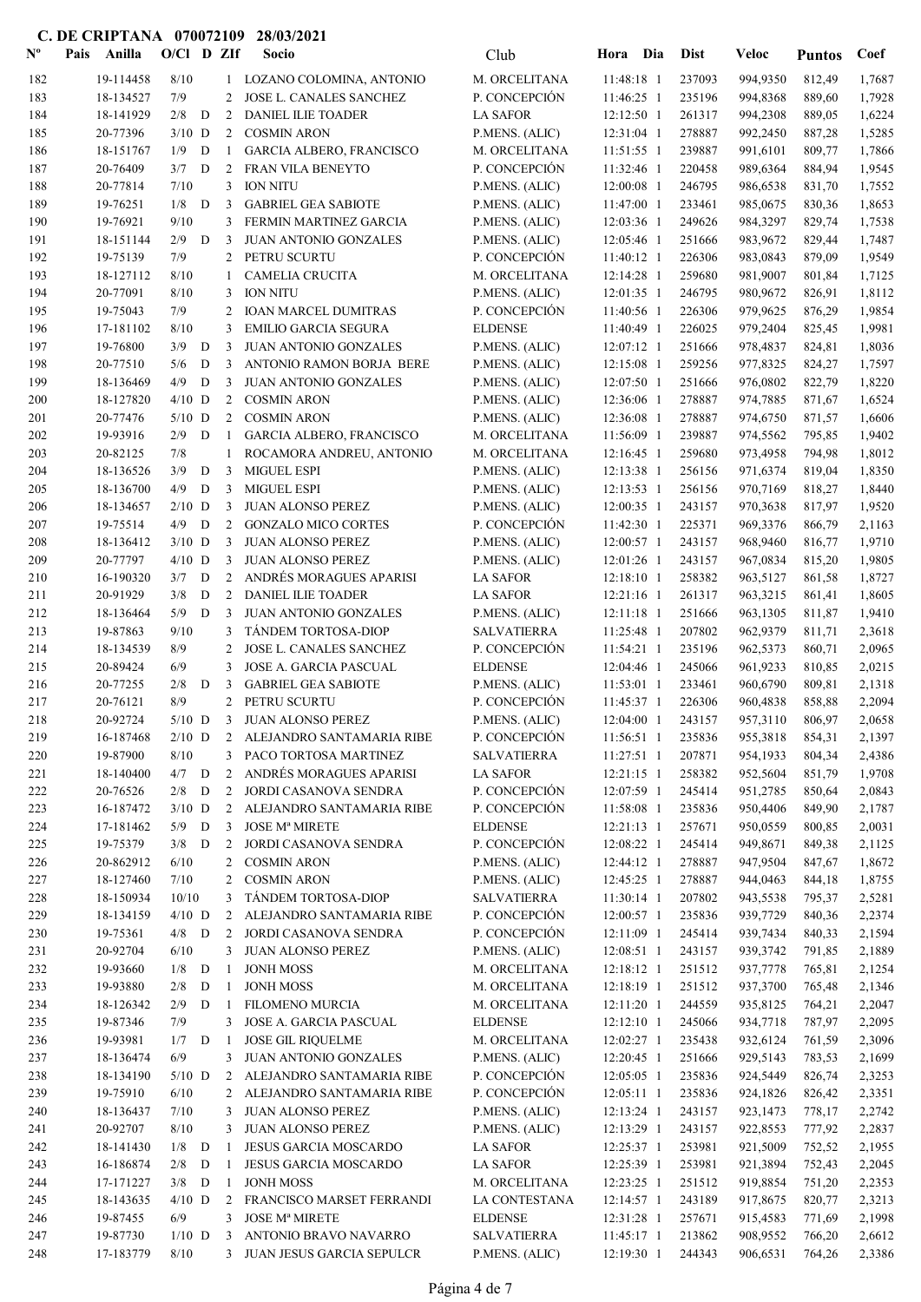| $N^{\text{o}}$ | Pais | Anilla                | $O/Cl$ D ZIf    |             |                | Socio                                                  | Club                                  | Hora                         | Dia | Dist             | <b>Veloc</b>         | <b>Puntos</b>    | Coef             |
|----------------|------|-----------------------|-----------------|-------------|----------------|--------------------------------------------------------|---------------------------------------|------------------------------|-----|------------------|----------------------|------------------|------------------|
| 182            |      | 19-114458             | 8/10            |             |                | 1 LOZANO COLOMINA, ANTONIO                             | M. ORCELITANA                         | 11:48:18 1                   |     | 237093           | 994,9350             | 812,49           | 1,7687           |
| 183            |      | 18-134527             | 7/9             |             | 2              | JOSE L. CANALES SANCHEZ                                | P. CONCEPCIÓN                         | 11:46:25 1                   |     | 235196           | 994,8368             | 889,60           | 1,7928           |
| 184            |      | 18-141929             | 2/8             | D           | 2              | DANIEL ILIE TOADER                                     | <b>LA SAFOR</b>                       | 12:12:50 1                   |     | 261317           | 994,2308             | 889,05           | 1,6224           |
| 185            |      | 20-77396              | $3/10$ D        |             | $\overline{2}$ | <b>COSMIN ARON</b>                                     | P.MENS. (ALIC)                        | 12:31:04 1                   |     | 278887           | 992,2450             | 887,28           | 1,5285           |
| 186            |      | 18-151767             | 1/9             | D           | 1              | <b>GARCIA ALBERO, FRANCISCO</b>                        | M. ORCELITANA                         | 11:51:55 1                   |     | 239887           | 991,6101             | 809,77           | 1,7866           |
| 187            |      | 20-76409              | 3/7             | D           | 2              | FRAN VILA BENEYTO                                      | P. CONCEPCIÓN                         | 11:32:46 1                   |     | 220458           | 989,6364             | 884,94           | 1,9545           |
| 188            |      | 20-77814              | 7/10            |             | 3              | <b>ION NITU</b>                                        | P.MENS. (ALIC)                        | 12:00:08 1                   |     | 246795           | 986,6538             | 831,70           | 1,7552           |
| 189            |      | 19-76251              | 1/8             | D           | 3              | <b>GABRIEL GEA SABIOTE</b>                             | P.MENS. (ALIC)                        | 11:47:00 1                   |     | 233461           | 985,0675             | 830,36           | 1,8653           |
| 190            |      | 19-76921              | 9/10            |             | 3              | FERMIN MARTINEZ GARCIA                                 | P.MENS. (ALIC)                        | 12:03:36 1                   |     | 249626           | 984,3297             | 829,74           | 1,7538           |
| 191            |      | 18-151144<br>19-75139 | 2/9<br>7/9      | D           | 3              | JUAN ANTONIO GONZALES<br>2 PETRU SCURTU                | P.MENS. (ALIC)<br>P. CONCEPCIÓN       | 12:05:46 1<br>11:40:12 1     |     | 251666<br>226306 | 983,9672             | 829,44<br>879,09 | 1,7487<br>1,9549 |
| 192<br>193     |      | 18-127112             | 8/10            |             | 1              | <b>CAMELIA CRUCITA</b>                                 | M. ORCELITANA                         | 12:14:28 1                   |     | 259680           | 983,0843<br>981,9007 | 801,84           | 1,7125           |
| 194            |      | 20-77091              | 8/10            |             | 3              | <b>ION NITU</b>                                        | P.MENS. (ALIC)                        | 12:01:35 1                   |     | 246795           | 980,9672             | 826,91           | 1,8112           |
| 195            |      | 19-75043              | 7/9             |             | 2              | <b>IOAN MARCEL DUMITRAS</b>                            | P. CONCEPCIÓN                         | 11:40:56 1                   |     | 226306           | 979,9625             | 876,29           | 1,9854           |
| 196            |      | 17-181102             | 8/10            |             | 3              | <b>EMILIO GARCIA SEGURA</b>                            | <b>ELDENSE</b>                        | 11:40:49 1                   |     | 226025           | 979,2404             | 825,45           | 1,9981           |
| 197            |      | 19-76800              | 3/9             | $\mathbf D$ | 3              | <b>JUAN ANTONIO GONZALES</b>                           | P.MENS. (ALIC)                        | 12:07:12 1                   |     | 251666           | 978,4837             | 824,81           | 1,8036           |
| 198            |      | 20-77510              | 5/6             | D           | 3              | ANTONIO RAMON BORJA BERE                               | P.MENS. (ALIC)                        | 12:15:08 1                   |     | 259256           | 977,8325             | 824,27           | 1,7597           |
| 199            |      | 18-136469             | 4/9             | D           | 3              | <b>JUAN ANTONIO GONZALES</b>                           | P.MENS. (ALIC)                        | 12:07:50 1                   |     | 251666           | 976,0802             | 822,79           | 1,8220           |
| 200            |      | 18-127820             | $4/10$ D        |             | 2              | <b>COSMIN ARON</b>                                     | P.MENS. (ALIC)                        | 12:36:06 1                   |     | 278887           | 974,7885             | 871,67           | 1,6524           |
| 201            |      | 20-77476              | $5/10$ D        |             | 2              | <b>COSMIN ARON</b>                                     | P.MENS. (ALIC)                        | 12:36:08 1                   |     | 278887           | 974,6750             | 871,57           | 1,6606           |
| 202            |      | 19-93916              | 2/9             | D           | -1             | GARCIA ALBERO, FRANCISCO                               | M. ORCELITANA                         | 11:56:09 1                   |     | 239887           | 974,5562             | 795,85           | 1,9402           |
| 203            |      | 20-82125              | 7/8             |             | $\mathbf{1}$   | ROCAMORA ANDREU, ANTONIO                               | M. ORCELITANA                         | 12:16:45 1                   |     | 259680           | 973,4958             | 794,98           | 1,8012           |
| 204            |      | 18-136526             | 3/9             | D           | 3              | <b>MIGUEL ESPI</b>                                     | P.MENS. (ALIC)                        | 12:13:38 1                   |     | 256156           | 971,6374             | 819,04           | 1,8350           |
| 205            |      | 18-136700             | 4/9             | D           | 3              | <b>MIGUEL ESPI</b>                                     | P.MENS. (ALIC)                        | 12:13:53 1                   |     | 256156           | 970,7169             | 818,27           | 1,8440           |
| 206            |      | 18-134657             | $2/10$ D<br>4/9 | D           | 3<br>2         | <b>JUAN ALONSO PEREZ</b>                               | P.MENS. (ALIC)<br>P. CONCEPCIÓN       | 12:00:35 1                   |     | 243157<br>225371 | 970,3638             | 817,97           | 1,9520           |
| 207<br>208     |      | 19-75514<br>18-136412 | $3/10$ D        |             | 3              | <b>GONZALO MICO CORTES</b><br><b>JUAN ALONSO PEREZ</b> | P.MENS. (ALIC)                        | $11:42:30$ 1<br>12:00:57 1   |     | 243157           | 969,3376<br>968,9460 | 866,79<br>816,77 | 2,1163<br>1,9710 |
| 209            |      | 20-77797              | $4/10$ D        |             | 3              | JUAN ALONSO PEREZ                                      | P.MENS. (ALIC)                        | 12:01:26 1                   |     | 243157           | 967,0834             | 815,20           | 1,9805           |
| 210            |      | 16-190320             | 3/7             | D           | $\overline{2}$ | ANDRÉS MORAGUES APARISI                                | <b>LA SAFOR</b>                       | 12:18:10 1                   |     | 258382           | 963,5127             | 861,58           | 1,8727           |
| 211            |      | 20-91929              | 3/8             | D           | 2              | <b>DANIEL ILIE TOADER</b>                              | <b>LA SAFOR</b>                       | 12:21:16 1                   |     | 261317           | 963,3215             | 861,41           | 1,8605           |
| 212            |      | 18-136464             | 5/9             | D           | 3              | JUAN ANTONIO GONZALES                                  | P.MENS. (ALIC)                        | 12:11:18 1                   |     | 251666           | 963,1305             | 811,87           | 1,9410           |
| 213            |      | 19-87863              | 9/10            |             | 3              | TÁNDEM TORTOSA-DIOP                                    | <b>SALVATIERRA</b>                    | 11:25:48 1                   |     | 207802           | 962,9379             | 811,71           | 2,3618           |
| 214            |      | 18-134539             | 8/9             |             | 2              | JOSE L. CANALES SANCHEZ                                | P. CONCEPCIÓN                         | 11:54:21 1                   |     | 235196           | 962,5373             | 860,71           | 2,0965           |
| 215            |      | 20-89424              | 6/9             |             | 3              | JOSE A. GARCIA PASCUAL                                 | <b>ELDENSE</b>                        | 12:04:46 1                   |     | 245066           | 961,9233             | 810,85           | 2,0215           |
| 216            |      | 20-77255              | 2/8             | D           | 3              | <b>GABRIEL GEA SABIOTE</b>                             | P.MENS. (ALIC)                        | 11:53:01 1                   |     | 233461           | 960,6790             | 809,81           | 2,1318           |
| 217            |      | 20-76121              | 8/9             |             | 2              | PETRU SCURTU                                           | P. CONCEPCIÓN                         | 11:45:37 1                   |     | 226306           | 960,4838             | 858,88           | 2,2094           |
| 218            |      | 20-92724              | $5/10$ D        |             | $\mathbf{3}$   | <b>JUAN ALONSO PEREZ</b>                               | P.MENS. (ALIC)                        | 12:04:00 1                   |     | 243157           | 957,3110             | 806,97           | 2,0658           |
| 219            |      | 16-187468             |                 |             |                | 2/10 D 2 ALEJANDRO SANTAMARIA RIBE                     | P. CONCEPCIÓN                         | $11:56:51$ 1                 |     | 235836           | 955,3818             | 854,31           | 2,1397           |
| 220<br>221     |      | 19-87900<br>18-140400 | 8/10<br>$4/7$ D |             | 2              | 3 PACO TORTOSA MARTINEZ<br>ANDRÉS MORAGUES APARISI     | <b>SALVATIERRA</b><br><b>LA SAFOR</b> | $11:27:51$ 1<br>$12:21:15$ 1 |     | 207871<br>258382 | 954,1933<br>952,5604 | 804,34<br>851,79 | 2,4386<br>1,9708 |
| 222            |      | 20-76526              | $2/8$ D         |             | $\overline{2}$ | JORDI CASANOVA SENDRA                                  | P. CONCEPCIÓN                         | 12:07:59 1                   |     | 245414           | 951,2785             | 850,64           | 2,0843           |
| 223            |      | 16-187472             | $3/10$ D        |             |                | 2 ALEJANDRO SANTAMARIA RIBE                            | P. CONCEPCIÓN                         | 11:58:08 1                   |     | 235836           | 950,4406             | 849,90           | 2,1787           |
| 224            |      | 17-181462             | $5/9$ D         |             | 3              | <b>JOSE Mª MIRETE</b>                                  | <b>ELDENSE</b>                        | $12:21:13$ 1                 |     | 257671           | 950,0559             | 800,85           | 2,0031           |
| 225            |      | 19-75379              | $3/8$ D         |             | 2              | JORDI CASANOVA SENDRA                                  | P. CONCEPCIÓN                         | 12:08:22 1                   |     | 245414           | 949,8671             | 849,38           | 2,1125           |
| 226            |      | 20-862912             | 6/10            |             | $\overline{2}$ | <b>COSMIN ARON</b>                                     | P.MENS. (ALIC)                        | 12:44:12 1                   |     | 278887           | 947,9504             | 847,67           | 1,8672           |
| 227            |      | 18-127460             | 7/10            |             | 2              | <b>COSMIN ARON</b>                                     | P.MENS. (ALIC)                        | 12:45:25 1                   |     | 278887           | 944,0463             | 844,18           | 1,8755           |
| 228            |      | 18-150934             | 10/10           |             | 3              | TÁNDEM TORTOSA-DIOP                                    | <b>SALVATIERRA</b>                    | 11:30:14 1                   |     | 207802           | 943,5538             | 795,37           | 2,5281           |
| 229            |      | 18-134159             | $4/10$ D        |             | $2^{\circ}$    | ALEJANDRO SANTAMARIA RIBE                              | P. CONCEPCIÓN                         | 12:00:57 1                   |     | 235836           | 939,7729             | 840,36           | 2,2374           |
| 230            |      | 19-75361              | $4/8$ D         |             | 2              | JORDI CASANOVA SENDRA                                  | P. CONCEPCIÓN                         | 12:11:09 1                   |     | 245414           | 939,7434             | 840,33           | 2,1594           |
| 231            |      | 20-92704              | 6/10            |             | 3              | JUAN ALONSO PEREZ                                      | P.MENS. (ALIC)                        | $12:08:51$ 1                 |     | 243157           | 939,3742             | 791,85           | 2,1889           |
| 232            |      | 19-93660              | 1/8             | D           | -1             | <b>JONH MOSS</b>                                       | M. ORCELITANA                         | $12:18:12$ 1                 |     | 251512           | 937,7778             | 765,81           | 2,1254           |
| 233            |      | 19-93880              | 2/8             | D           | 1              | <b>JONH MOSS</b>                                       | M. ORCELITANA                         | 12:18:19 1                   |     | 251512           | 937,3700             | 765,48           | 2,1346           |
| 234<br>235     |      | 18-126342<br>19-87346 | 2/9<br>7/9      | D           | -1<br>3        | FILOMENO MURCIA<br>JOSE A. GARCIA PASCUAL              | M. ORCELITANA<br><b>ELDENSE</b>       | 12:11:20 1<br>12:12:10 1     |     | 244559<br>245066 | 935,8125<br>934,7718 | 764,21<br>787,97 | 2,2047<br>2,2095 |
| 236            |      | 19-93981              | $1/7$ D         |             | -1             | <b>JOSE GIL RIQUELME</b>                               | M. ORCELITANA                         | 12:02:27 1                   |     | 235438           | 932,6124             | 761,59           | 2,3096           |
| 237            |      | 18-136474             | 6/9             |             | 3              | JUAN ANTONIO GONZALES                                  | P.MENS. (ALIC)                        | 12:20:45 1                   |     | 251666           | 929,5143             | 783,53           | 2,1699           |
| 238            |      | 18-134190             | $5/10$ D        |             | 2              | ALEJANDRO SANTAMARIA RIBE                              | P. CONCEPCIÓN                         | 12:05:05 1                   |     | 235836           | 924,5449             | 826,74           | 2,3253           |
| 239            |      | 19-75910              | 6/10            |             | 2              | ALEJANDRO SANTAMARIA RIBE                              | P. CONCEPCIÓN                         | 12:05:11 1                   |     | 235836           | 924,1826             | 826,42           | 2,3351           |
| 240            |      | 18-136437             | 7/10            |             | 3              | JUAN ALONSO PEREZ                                      | P.MENS. (ALIC)                        | 12:13:24 1                   |     | 243157           | 923,1473             | 778,17           | 2,2742           |
| 241            |      | 20-92707              | 8/10            |             | 3              | JUAN ALONSO PEREZ                                      | P.MENS. (ALIC)                        | 12:13:29 1                   |     | 243157           | 922,8553             | 777,92           | 2,2837           |
| 242            |      | 18-141430             | $1/8$ D         |             | -1             | JESUS GARCIA MOSCARDO                                  | <b>LA SAFOR</b>                       | 12:25:37 1                   |     | 253981           | 921,5009             | 752,52           | 2,1955           |
| 243            |      | 16-186874             | 2/8             | D           | -1             | JESUS GARCIA MOSCARDO                                  | <b>LA SAFOR</b>                       | 12:25:39 1                   |     | 253981           | 921,3894             | 752,43           | 2,2045           |
| 244            |      | 17-171227             | $3/8$ D         |             | -1             | <b>JONH MOSS</b>                                       | M. ORCELITANA                         | 12:23:25 1                   |     | 251512           | 919,8854             | 751,20           | 2,2353           |
| 245            |      | 18-143635             | $4/10$ D        |             | $\overline{2}$ | FRANCISCO MARSET FERRANDI                              | LA CONTESTANA                         | 12:14:57 1                   |     | 243189           | 917,8675             | 820,77           | 2,3213           |
| 246            |      | 19-87455              | 6/9             |             | 3              | <b>JOSE Mª MIRETE</b>                                  | <b>ELDENSE</b>                        | 12:31:28 1                   |     | 257671           | 915,4583             | 771,69           | 2,1998           |
| 247            |      | 19-87730              | $1/10$ D        |             | 3              | ANTONIO BRAVO NAVARRO                                  | <b>SALVATIERRA</b>                    | $11:45:17$ 1                 |     | 213862           | 908,9552             | 766,20           | 2,6612           |
| 248            |      | 17-183779             | 8/10            |             |                | 3 JUAN JESUS GARCIA SEPULCR                            | P.MENS. (ALIC)                        | 12:19:30 1                   |     | 244343           | 906,6531             | 764,26           | 2,3386           |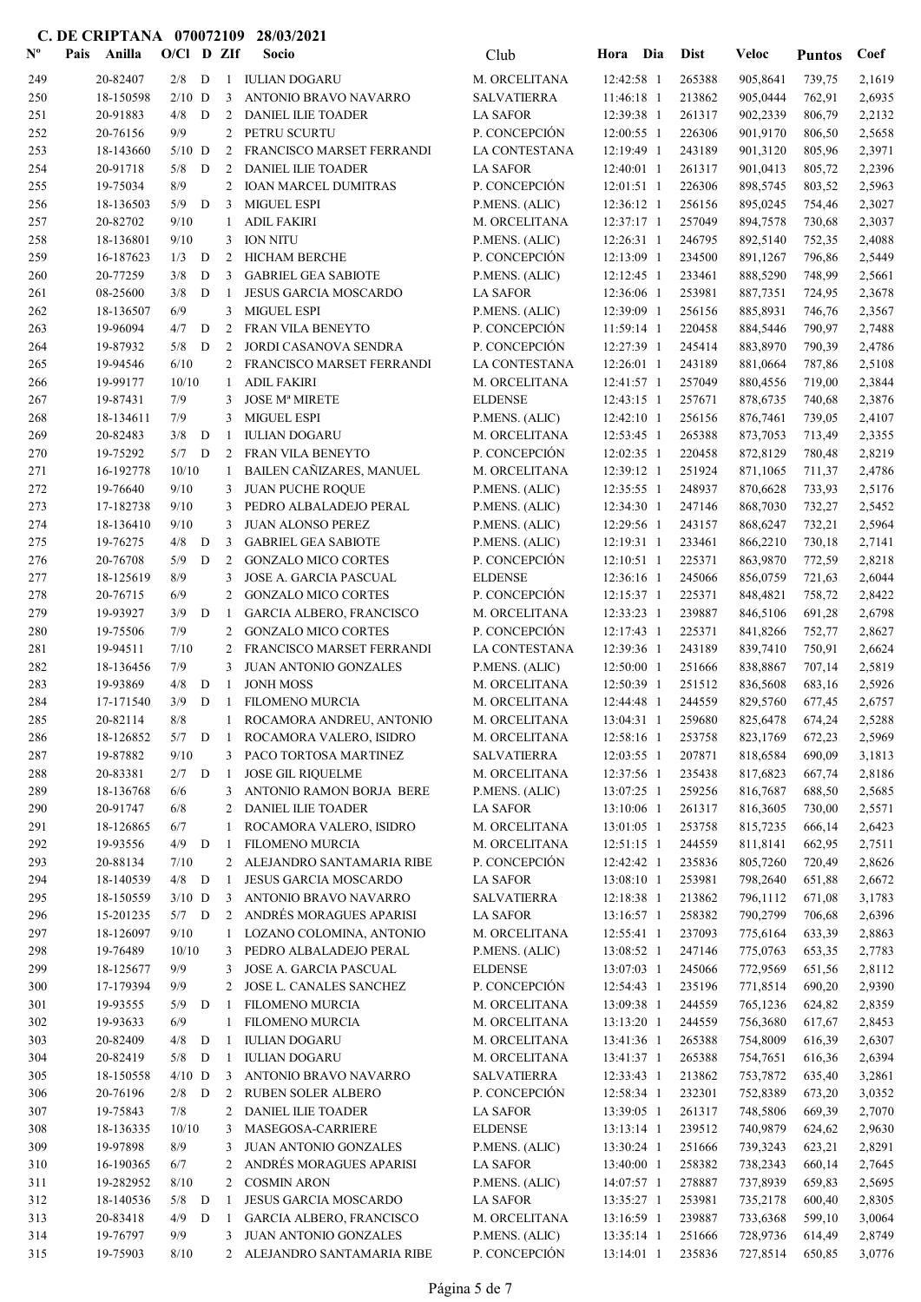| $\mathbf{N}^{\mathbf{o}}$ | Pais | Anilla                | $O/Cl$ D ZIf |   |                | Socio                                             | Club                              | Hora                     | Dia | <b>Dist</b>      | <b>Veloc</b>         | <b>Puntos</b>    | Coef             |
|---------------------------|------|-----------------------|--------------|---|----------------|---------------------------------------------------|-----------------------------------|--------------------------|-----|------------------|----------------------|------------------|------------------|
| 249                       |      | 20-82407              | $2/8$ D      |   |                | 1 IULIAN DOGARU                                   | M. ORCELITANA                     | 12:42:58 1               |     | 265388           | 905,8641             | 739,75           | 2,1619           |
| 250                       |      | 18-150598             | $2/10$ D     |   | 3              | ANTONIO BRAVO NAVARRO                             | <b>SALVATIERRA</b>                | 11:46:18 1               |     | 213862           | 905,0444             | 762,91           | 2,6935           |
| 251                       |      | 20-91883              | 4/8          | D | 2              | <b>DANIEL ILIE TOADER</b>                         | <b>LA SAFOR</b>                   | 12:39:38 1               |     | 261317           | 902,2339             | 806,79           | 2,2132           |
| 252                       |      | 20-76156              | 9/9          |   | $\overline{2}$ | PETRU SCURTU                                      | P. CONCEPCIÓN                     | 12:00:55 1               |     | 226306           | 901,9170             | 806,50           | 2,5658           |
| 253                       |      | 18-143660             | $5/10$ D     |   | 2              | FRANCISCO MARSET FERRANDI                         | LA CONTESTANA                     | 12:19:49 1               |     | 243189           | 901,3120             | 805,96           | 2,3971           |
| 254                       |      | 20-91718              | 5/8          | D | 2              | <b>DANIEL ILIE TOADER</b>                         | <b>LA SAFOR</b>                   | 12:40:01 1               |     | 261317           | 901,0413             | 805,72           | 2,2396           |
| 255                       |      | 19-75034              | 8/9          |   | $\overline{2}$ | <b>IOAN MARCEL DUMITRAS</b>                       | P. CONCEPCIÓN                     | $12:01:51$ 1             |     | 226306           | 898,5745             | 803,52           | 2,5963           |
| 256                       |      | 18-136503             | 5/9          | D | 3              | <b>MIGUEL ESPI</b>                                | P.MENS. (ALIC)                    | 12:36:12 1               |     | 256156           | 895,0245             | 754,46           | 2,3027           |
| 257                       |      | 20-82702              | 9/10         |   | 1              | <b>ADIL FAKIRI</b>                                | M. ORCELITANA                     | 12:37:17 1               |     | 257049           | 894,7578             | 730,68           | 2,3037           |
| 258                       |      | 18-136801             | 9/10         |   | 3              | <b>ION NITU</b>                                   | P.MENS. (ALIC)                    | 12:26:31 1               |     | 246795           | 892,5140             | 752,35           | 2,4088           |
| 259                       |      | 16-187623             | 1/3          | D | 2              | <b>HICHAM BERCHE</b>                              | P. CONCEPCIÓN                     | 12:13:09 1               |     | 234500           | 891,1267             | 796,86           | 2,5449           |
| 260                       |      | 20-77259              | 3/8          | D | 3              | <b>GABRIEL GEA SABIOTE</b>                        | P.MENS. (ALIC)                    | 12:12:45 1               |     | 233461           | 888,5290             | 748,99           | 2,5661           |
| 261                       |      | 08-25600              | 3/8          | D | -1             | JESUS GARCIA MOSCARDO                             | <b>LA SAFOR</b>                   | 12:36:06 1               |     | 253981           | 887,7351             | 724,95           | 2,3678           |
| 262                       |      | 18-136507             | 6/9          |   | 3              | <b>MIGUEL ESPI</b>                                | P.MENS. (ALIC)                    | 12:39:09 1               |     | 256156           | 885,8931             | 746,76           | 2,3567           |
| 263                       |      | 19-96094              | 4/7          | D | $\mathfrak{2}$ | FRAN VILA BENEYTO                                 | P. CONCEPCIÓN                     | 11:59:14 1               |     | 220458           | 884,5446             | 790,97           | 2,7488           |
| 264                       |      | 19-87932              | 5/8          | D | 2              | JORDI CASANOVA SENDRA                             | P. CONCEPCIÓN                     | 12:27:39 1               |     | 245414           | 883,8970             | 790,39           | 2,4786           |
| 265                       |      | 19-94546              | 6/10         |   | 2              | FRANCISCO MARSET FERRANDI                         | LA CONTESTANA                     | 12:26:01 1               |     | 243189           | 881,0664             | 787,86           | 2,5108           |
| 266                       |      | 19-99177              | 10/10        |   | 1              | <b>ADIL FAKIRI</b>                                | M. ORCELITANA                     | 12:41:57 1               |     | 257049           | 880,4556             | 719,00           | 2,3844           |
| 267                       |      | 19-87431              | 7/9          |   | 3              | <b>JOSE Mª MIRETE</b>                             | <b>ELDENSE</b>                    | 12:43:15 1               |     | 257671           | 878,6735             | 740,68           | 2,3876           |
| 268                       |      | 18-134611             | 7/9          |   | 3              | <b>MIGUEL ESPI</b>                                | P.MENS. (ALIC)                    | 12:42:10 1               |     | 256156           | 876,7461             | 739,05           | 2,4107           |
| 269                       |      | 20-82483              | 3/8<br>5/7   | D | 1              | <b>IULIAN DOGARU</b>                              | M. ORCELITANA                     | 12:53:45 1<br>12:02:35 1 |     | 265388           | 873,7053             | 713,49           | 2,3355           |
| 270                       |      | 19-75292              |              | D | 2              | FRAN VILA BENEYTO                                 | P. CONCEPCIÓN<br>M. ORCELITANA    |                          |     | 220458<br>251924 | 872,8129             | 780,48           | 2,8219           |
| 271                       |      | 16-192778             | 10/10        |   | 1              | BAILEN CAÑIZARES, MANUEL                          |                                   | 12:39:12 1               |     |                  | 871,1065             | 711,37           | 2,4786           |
| 272<br>273                |      | 19-76640<br>17-182738 | 9/10<br>9/10 |   | 3<br>3         | <b>JUAN PUCHE ROQUE</b><br>PEDRO ALBALADEJO PERAL | P.MENS. (ALIC)<br>P.MENS. (ALIC)  | 12:35:55 1<br>12:34:30 1 |     | 248937<br>247146 | 870,6628<br>868,7030 | 733,93<br>732,27 | 2,5176<br>2,5452 |
| 274                       |      | 18-136410             | 9/10         |   | 3              | <b>JUAN ALONSO PEREZ</b>                          | P.MENS. (ALIC)                    | 12:29:56 1               |     | 243157           | 868,6247             | 732,21           | 2,5964           |
| 275                       |      | 19-76275              | 4/8          | D | 3              | <b>GABRIEL GEA SABIOTE</b>                        | P.MENS. (ALIC)                    | 12:19:31 1               |     | 233461           | 866,2210             | 730,18           | 2,7141           |
| 276                       |      | 20-76708              | 5/9          | D | 2              | <b>GONZALO MICO CORTES</b>                        | P. CONCEPCIÓN                     | 12:10:51 1               |     | 225371           | 863,9870             | 772,59           | 2,8218           |
| 277                       |      | 18-125619             | 8/9          |   | 3              | JOSE A. GARCIA PASCUAL                            | <b>ELDENSE</b>                    | 12:36:16 1               |     | 245066           | 856,0759             | 721,63           | 2,6044           |
| 278                       |      | 20-76715              | 6/9          |   | 2              | <b>GONZALO MICO CORTES</b>                        | P. CONCEPCIÓN                     | 12:15:37 1               |     | 225371           | 848,4821             | 758,72           | 2,8422           |
| 279                       |      | 19-93927              | 3/9          | D | -1             | GARCIA ALBERO, FRANCISCO                          | M. ORCELITANA                     | 12:33:23 1               |     | 239887           | 846,5106             | 691,28           | 2,6798           |
| 280                       |      | 19-75506              | 7/9          |   | 2              | <b>GONZALO MICO CORTES</b>                        | P. CONCEPCIÓN                     | 12:17:43 1               |     | 225371           | 841,8266             | 752,77           | 2,8627           |
| 281                       |      | 19-94511              | 7/10         |   | 2              | FRANCISCO MARSET FERRANDI                         | LA CONTESTANA                     | 12:39:36 1               |     | 243189           | 839,7410             | 750,91           | 2,6624           |
| 282                       |      | 18-136456             | 7/9          |   | 3              | <b>JUAN ANTONIO GONZALES</b>                      | P.MENS. (ALIC)                    | 12:50:00 1               |     | 251666           | 838,8867             | 707,14           | 2,5819           |
| 283                       |      | 19-93869              | 4/8          | D | -1             | <b>JONH MOSS</b>                                  | M. ORCELITANA                     | 12:50:39 1               |     | 251512           | 836,5608             | 683,16           | 2,5926           |
| 284                       |      | 17-171540             | 3/9          | D | $\mathbf{1}$   | <b>FILOMENO MURCIA</b>                            | M. ORCELITANA                     | 12:44:48 1               |     | 244559           | 829,5760             | 677,45           | 2,6757           |
| 285                       |      | 20-82114              | 8/8          |   | $\mathbf{1}$   | ROCAMORA ANDREU, ANTONIO                          | M. ORCELITANA                     | 13:04:31 1               |     | 259680           | 825,6478             | 674,24           | 2,5288           |
| 286                       |      | 18-126852             |              |   |                | 5/7 D 1 ROCAMORA VALERO, ISIDRO                   | M. ORCELITANA                     | 12:58:16 1               |     | 253758           | 823,1769             | 672,23           | 2,5969           |
| 287                       |      | 19-87882              | 9/10         |   |                | 3 PACO TORTOSA MARTINEZ                           | <b>SALVATIERRA</b>                | $12:03:55$ 1             |     | 207871           | 818,6584             | 690,09           | 3,1813           |
| 288                       |      | 20-83381              | $2/7$ D      |   | -1             | <b>JOSE GIL RIQUELME</b>                          | M. ORCELITANA                     | 12:37:56 1               |     | 235438           | 817,6823             | 667,74           | 2,8186           |
| 289                       |      | 18-136768             | 6/6          |   |                | 3 ANTONIO RAMON BORJA BERE                        | P.MENS. (ALIC)                    | 13:07:25 1               |     | 259256           | 816,7687             | 688,50           | 2,5685           |
| 290                       |      | 20-91747              | 6/8          |   | 2              | <b>DANIEL ILIE TOADER</b>                         | <b>LA SAFOR</b>                   | 13:10:06 1               |     | 261317           | 816,3605             | 730,00           | 2,5571           |
| 291                       |      | 18-126865             | 6/7          |   | 1              | ROCAMORA VALERO, ISIDRO                           | M. ORCELITANA                     | 13:01:05 1               |     | 253758           | 815,7235             | 666,14           | 2,6423           |
| 292                       |      | 19-93556              | $4/9$ D      |   | -1             | <b>FILOMENO MURCIA</b>                            | M. ORCELITANA                     | $12:51:15$ 1             |     | 244559           | 811,8141             | 662,95           | 2,7511           |
| 293                       |      | 20-88134              | 7/10         |   |                | 2 ALEJANDRO SANTAMARIA RIBE                       | P. CONCEPCIÓN                     | 12:42:42 1               |     | 235836           | 805,7260             | 720,49           | 2,8626           |
| 294                       |      | 18-140539             | $4/8$ D      |   | 1              | JESUS GARCIA MOSCARDO                             | <b>LA SAFOR</b>                   | 13:08:10 1               |     | 253981           | 798,2640             | 651,88           | 2,6672           |
| 295                       |      | 18-150559             | $3/10$ D     |   | 3              | ANTONIO BRAVO NAVARRO                             | <b>SALVATIERRA</b>                | 12:18:38 1               |     | 213862           | 796,1112             | 671,08           | 3,1783           |
| 296                       |      | 15-201235             | $5/7$ D      |   |                | 2 ANDRÉS MORAGUES APARISI                         | <b>LA SAFOR</b>                   | 13:16:57 1               |     | 258382           | 790,2799             | 706,68           | 2,6396           |
| 297                       |      | 18-126097             | 9/10         |   | $\mathbf{1}$   | LOZANO COLOMINA, ANTONIO                          | M. ORCELITANA                     | 12:55:41 1               |     | 237093           | 775,6164             | 633,39           | 2,8863           |
| 298                       |      | 19-76489              | 10/10        |   | 3              | PEDRO ALBALADEJO PERAL                            | P.MENS. (ALIC)                    | 13:08:52 1               |     | 247146           | 775,0763             | 653,35           | 2,7783           |
| 299                       |      | 18-125677             | 9/9          |   | 3              | JOSE A. GARCIA PASCUAL                            | <b>ELDENSE</b>                    | 13:07:03 1               |     | 245066           | 772,9569             | 651,56           | 2,8112           |
| 300                       |      | 17-179394             | 9/9          |   | 2              | JOSE L. CANALES SANCHEZ                           | P. CONCEPCIÓN                     | 12:54:43 1               |     | 235196           | 771,8514             | 690,20           | 2,9390           |
| 301                       |      | 19-93555              | 5/9          | D | -1             | FILOMENO MURCIA                                   | M. ORCELITANA                     | 13:09:38 1               |     | 244559           | 765,1236             | 624,82           | 2,8359           |
| 302                       |      | 19-93633              | 6/9          |   | 1              | <b>FILOMENO MURCIA</b>                            | M. ORCELITANA                     | 13:13:20 1               |     | 244559           | 756,3680             | 617,67           | 2,8453           |
| 303                       |      | 20-82409              | 4/8          | D | 1              | <b>IULIAN DOGARU</b>                              | M. ORCELITANA                     | 13:41:36 1               |     | 265388           | 754,8009             | 616,39           | 2,6307           |
| 304                       |      | 20-82419              | 5/8          | D | $\mathbf{1}$   | <b>IULIAN DOGARU</b>                              | M. ORCELITANA                     | 13:41:37 1               |     | 265388           | 754,7651             | 616,36           | 2,6394           |
| 305                       |      | 18-150558             | $4/10$ D     |   | 3              | ANTONIO BRAVO NAVARRO                             | <b>SALVATIERRA</b>                | 12:33:43 1               |     | 213862           | 753,7872             | 635,40           | 3,2861           |
| 306                       |      | 20-76196              | 2/8          | D | 2              | RUBEN SOLER ALBERO                                | P. CONCEPCIÓN                     | 12:58:34 1               |     | 232301           | 752,8389             | 673,20           | 3,0352           |
| 307                       |      | 19-75843              | 7/8          |   | 2              | <b>DANIEL ILIE TOADER</b>                         | <b>LA SAFOR</b>                   | 13:39:05 1               |     | 261317           | 748,5806             | 669,39           | 2,7070           |
| 308<br>309                |      | 18-136335<br>19-97898 | 10/10<br>8/9 |   | 3<br>3         | MASEGOSA-CARRIERE<br><b>JUAN ANTONIO GONZALES</b> | <b>ELDENSE</b>                    | $13:13:14$ 1             |     | 239512<br>251666 | 740,9879             | 624,62           | 2,9630           |
| 310                       |      | 16-190365             | 6/7          |   | 2              | ANDRÉS MORAGUES APARISI                           | P.MENS. (ALIC)<br><b>LA SAFOR</b> | 13:30:24 1<br>13:40:00 1 |     | 258382           | 739,3243<br>738,2343 | 623,21<br>660,14 | 2,8291<br>2,7645 |
| 311                       |      | 19-282952             | 8/10         |   | 2              | <b>COSMIN ARON</b>                                | P.MENS. (ALIC)                    | 14:07:57 1               |     | 278887           | 737,8939             | 659,83           | 2,5695           |
| 312                       |      | 18-140536             | 5/8          | D | $\mathbf{1}$   | JESUS GARCIA MOSCARDO                             | <b>LA SAFOR</b>                   | 13:35:27 1               |     | 253981           | 735,2178             | 600,40           | 2,8305           |
| 313                       |      | 20-83418              | 4/9          | D | $\mathbf{1}$   | GARCIA ALBERO, FRANCISCO                          | M. ORCELITANA                     | 13:16:59 1               |     | 239887           | 733,6368             | 599,10           | 3,0064           |
| 314                       |      | 19-76797              | 9/9          |   |                | 3 JUAN ANTONIO GONZALES                           | P.MENS. (ALIC)                    | 13:35:14 1               |     | 251666           | 728,9736             | 614,49           | 2,8749           |
| 315                       |      | 19-75903              | 8/10         |   |                | 2 ALEJANDRO SANTAMARIA RIBE                       | P. CONCEPCIÓN                     | $13:14:01$ 1             |     | 235836           | 727,8514             | 650,85           | 3,0776           |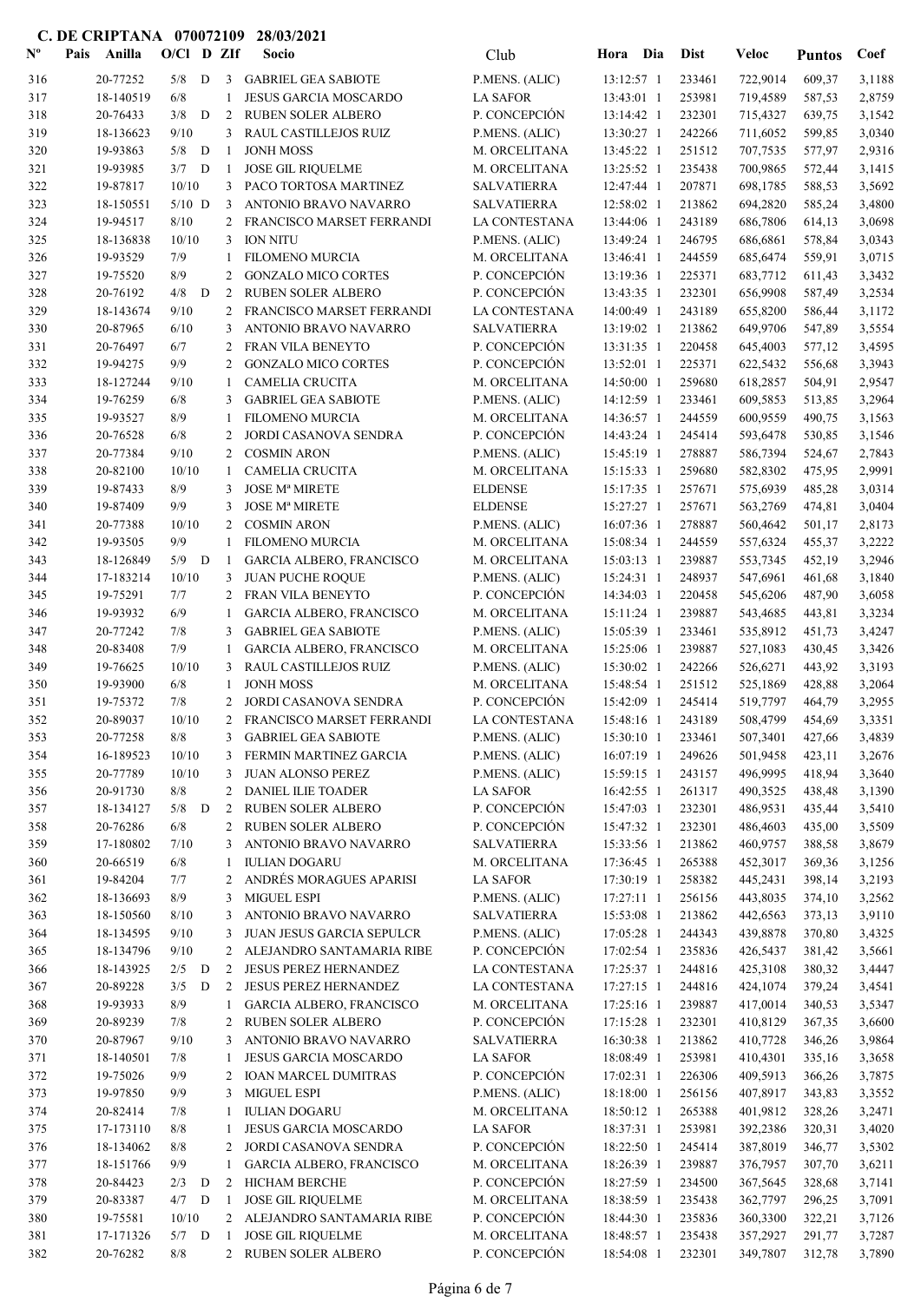| $N^{\text{o}}$ | Anilla<br>Pais         |              |   | $O/Cl$ D ZIf   | Socio                                               | Club                            | Hora                     | Dia        | <b>Dist</b>      | <b>Veloc</b>         | <b>Puntos</b>    | Coef             |
|----------------|------------------------|--------------|---|----------------|-----------------------------------------------------|---------------------------------|--------------------------|------------|------------------|----------------------|------------------|------------------|
| 316            | 20-77252               | 5/8          | D |                | 3 GABRIEL GEA SABIOTE                               | P.MENS. (ALIC)                  | 13:12:57 1               |            | 233461           | 722,9014             | 609,37           | 3,1188           |
| 317            | 18-140519              | 6/8          |   | 1              | JESUS GARCIA MOSCARDO                               | <b>LA SAFOR</b>                 | 13:43:01 1               |            | 253981           | 719,4589             | 587,53           | 2,8759           |
| 318            | 20-76433               | 3/8          | D | 2              | RUBEN SOLER ALBERO                                  | P. CONCEPCIÓN                   | 13:14:42 1               |            | 232301           | 715,4327             | 639,75           | 3,1542           |
| 319            | 18-136623              | 9/10         |   | 3              | RAUL CASTILLEJOS RUIZ                               | P.MENS. (ALIC)                  | 13:30:27 1               |            | 242266           | 711,6052             | 599,85           | 3,0340           |
| 320            | 19-93863               | 5/8          | D | -1             | <b>JONH MOSS</b>                                    | M. ORCELITANA                   | 13:45:22 1               |            | 251512           | 707,7535             | 577,97           | 2,9316           |
| 321            | 19-93985               | 3/7          | D | -1             | <b>JOSE GIL RIQUELME</b>                            | M. ORCELITANA                   | 13:25:52 1               |            | 235438           | 700,9865             | 572,44           | 3,1415           |
| 322            | 19-87817               | 10/10        |   |                | 3 PACO TORTOSA MARTINEZ                             | <b>SALVATIERRA</b>              | 12:47:44 1               |            | 207871           | 698,1785             | 588,53           | 3,5692           |
| 323            | 18-150551              | $5/10$ D     |   | 3              | ANTONIO BRAVO NAVARRO                               | <b>SALVATIERRA</b>              | 12:58:02 1               |            | 213862           | 694,2820             | 585,24           | 3,4800           |
| 324            | 19-94517               | 8/10         |   | 2              | FRANCISCO MARSET FERRANDI                           | <b>LA CONTESTANA</b>            | 13:44:06 1               |            | 243189           | 686,7806             | 614,13           | 3,0698           |
| 325            | 18-136838              | 10/10        |   | 3              | <b>ION NITU</b>                                     | P.MENS. (ALIC)                  | 13:49:24 1               |            | 246795           | 686,6861             | 578,84           | 3,0343           |
| 326            | 19-93529               | 7/9          |   | 1              | FILOMENO MURCIA                                     | M. ORCELITANA                   | 13:46:41 1               |            | 244559           | 685,6474             | 559,91           | 3,0715           |
| 327            | 19-75520               | 8/9          |   | 2              | <b>GONZALO MICO CORTES</b>                          | P. CONCEPCIÓN                   | 13:19:36 1               |            | 225371           | 683,7712             | 611,43           | 3,3432           |
| 328            | 20-76192               | 4/8          | D | 2              | RUBEN SOLER ALBERO                                  | P. CONCEPCIÓN                   | 13:43:35 1               |            | 232301           | 656,9908             | 587,49           | 3,2534           |
| 329            | 18-143674              | 9/10         |   | 2              | FRANCISCO MARSET FERRANDI                           | LA CONTESTANA                   | 14:00:49 1               |            | 243189           | 655,8200             | 586,44           | 3,1172           |
| 330            | 20-87965               | 6/10         |   | 3              | ANTONIO BRAVO NAVARRO                               | <b>SALVATIERRA</b>              | 13:19:02 1               |            | 213862           | 649,9706             | 547,89           | 3,5554           |
| 331            | 20-76497               | 6/7          |   | 2              | FRAN VILA BENEYTO                                   | P. CONCEPCIÓN                   | 13:31:35 1               |            | 220458           | 645,4003             | 577,12           | 3,4595           |
| 332            | 19-94275               | 9/9          |   | 2              | <b>GONZALO MICO CORTES</b>                          | P. CONCEPCIÓN                   | 13:52:01 1               |            | 225371           | 622,5432             | 556,68           | 3,3943           |
| 333            | 18-127244              | 9/10         |   | 1              | <b>CAMELIA CRUCITA</b>                              | M. ORCELITANA                   | 14:50:00 1               |            | 259680           | 618,2857             | 504,91           | 2,9547           |
| 334            | 19-76259               | 6/8          |   | 3              | <b>GABRIEL GEA SABIOTE</b>                          | P.MENS. (ALIC)                  | 14:12:59 1               |            | 233461           | 609,5853             | 513,85           | 3,2964           |
| 335            | 19-93527               | 8/9          |   | 1              | <b>FILOMENO MURCIA</b>                              | M. ORCELITANA                   | 14:36:57 1               |            | 244559           | 600,9559             | 490,75           | 3,1563           |
| 336            | 20-76528               | 6/8          |   | 2              | JORDI CASANOVA SENDRA                               | P. CONCEPCIÓN                   | 14:43:24 1               |            | 245414           | 593,6478             | 530,85           | 3,1546           |
| 337            | 20-77384               | 9/10         |   | 2              | <b>COSMIN ARON</b>                                  | P.MENS. (ALIC)                  | 15:45:19 1               |            | 278887           | 586,7394             | 524,67           | 2,7843           |
| 338            | 20-82100               | 10/10        |   | 1              | <b>CAMELIA CRUCITA</b>                              | M. ORCELITANA                   | $15:15:33$ 1             |            | 259680           | 582,8302             | 475,95           | 2,9991           |
| 339            | 19-87433               | 8/9          |   | 3              | <b>JOSE Mª MIRETE</b>                               | <b>ELDENSE</b>                  | 15:17:35 1               |            | 257671           | 575,6939             | 485,28           | 3,0314           |
| 340            | 19-87409               | 9/9          |   | 3              | <b>JOSE Mª MIRETE</b>                               | <b>ELDENSE</b>                  | 15:27:27 1               |            | 257671           | 563,2769             | 474,81           | 3,0404           |
| 341            | 20-77388               | 10/10        |   | 2              | <b>COSMIN ARON</b>                                  | P.MENS. (ALIC)                  | 16:07:36 1               |            | 278887           | 560,4642             | 501,17           | 2,8173           |
| 342            | 19-93505               | 9/9          |   | 1              | <b>FILOMENO MURCIA</b>                              | M. ORCELITANA                   | 15:08:34 1               |            | 244559           | 557,6324             | 455,37           | 3,2222           |
| 343<br>344     | 18-126849<br>17-183214 | 5/9<br>10/10 | D | -1             | GARCIA ALBERO, FRANCISCO<br><b>JUAN PUCHE ROQUE</b> | M. ORCELITANA                   | 15:03:13 1               |            | 239887<br>248937 | 553,7345<br>547,6961 | 452,19           | 3,2946<br>3,1840 |
| 345            | 19-75291               | 7/7          |   | 3<br>2         | FRAN VILA BENEYTO                                   | P.MENS. (ALIC)<br>P. CONCEPCIÓN | 15:24:31 1<br>14:34:03 1 |            | 220458           | 545,6206             | 461,68<br>487,90 | 3,6058           |
| 346            | 19-93932               | 6/9          |   | 1              | GARCIA ALBERO, FRANCISCO                            | M. ORCELITANA                   | 15:11:24 1               |            | 239887           | 543,4685             | 443,81           | 3,3234           |
| 347            | 20-77242               | 7/8          |   | 3              | <b>GABRIEL GEA SABIOTE</b>                          | P.MENS. (ALIC)                  | 15:05:39 1               |            | 233461           | 535,8912             | 451,73           | 3,4247           |
| 348            | 20-83408               | 7/9          |   | 1              | GARCIA ALBERO, FRANCISCO                            | M. ORCELITANA                   | 15:25:06 1               |            | 239887           | 527,1083             | 430,45           | 3,3426           |
| 349            | 19-76625               | 10/10        |   | 3              | RAUL CASTILLEJOS RUIZ                               | P.MENS. (ALIC)                  | 15:30:02 1               |            | 242266           | 526,6271             | 443,92           | 3,3193           |
| 350            | 19-93900               | 6/8          |   | -1             | <b>JONH MOSS</b>                                    | M. ORCELITANA                   | 15:48:54 1               |            | 251512           | 525,1869             | 428,88           | 3,2064           |
| 351            | 19-75372               | 7/8          |   | 2              | JORDI CASANOVA SENDRA                               | P. CONCEPCIÓN                   | 15:42:09 1               |            | 245414           | 519,7797             | 464,79           | 3,2955           |
| 352            | 20-89037               | 10/10        |   | $\overline{2}$ | FRANCISCO MARSET FERRANDI                           | LA CONTESTANA                   | 15:48:16 1               |            | 243189           | 508,4799             | 454,69           | 3,3351           |
| 353            | 20-77258               | $8/8$        |   |                | 3 GABRIEL GEA SABIOTE                               | P.MENS. (ALIC)                  |                          | 15:30:10 1 | 233461           | 507,3401             | 427,66           | 3,4839           |
| 354            | 16-189523              | 10/10        |   |                | 3 FERMIN MARTINEZ GARCIA                            | P.MENS. (ALIC)                  | $16:07:19$ 1             |            | 249626           | 501,9458             | 423,11           | 3,2676           |
| 355            | 20-77789               | 10/10        |   | 3              | <b>JUAN ALONSO PEREZ</b>                            | P.MENS. (ALIC)                  | 15:59:15 1               |            | 243157           | 496,9995             | 418,94           | 3,3640           |
| 356            | 20-91730               | 8/8          |   | 2              | DANIEL ILIE TOADER                                  | <b>LA SAFOR</b>                 | $16:42:55$ 1             |            | 261317           | 490,3525             | 438,48           | 3,1390           |
| 357            | 18-134127              | $5/8$ D      |   |                | 2 RUBEN SOLER ALBERO                                | P. CONCEPCIÓN                   | 15:47:03 1               |            | 232301           | 486,9531             | 435,44           | 3,5410           |
| 358            | 20-76286               | 6/8          |   |                | 2 RUBEN SOLER ALBERO                                | P. CONCEPCIÓN                   | 15:47:32 1               |            | 232301           | 486,4603             | 435,00           | 3,5509           |
| 359            | 17-180802              | 7/10         |   |                | 3 ANTONIO BRAVO NAVARRO                             | <b>SALVATIERRA</b>              | 15:33:56 1               |            | 213862           | 460,9757             | 388,58           | 3,8679           |
| 360            | 20-66519               | 6/8          |   | 1              | <b>IULIAN DOGARU</b>                                | M. ORCELITANA                   | 17:36:45 1               |            | 265388           | 452,3017             | 369,36           | 3,1256           |
| 361            | 19-84204               | 7/7          |   | 2              | ANDRÉS MORAGUES APARISI                             | <b>LA SAFOR</b>                 | 17:30:19 1               |            | 258382           | 445,2431             | 398,14           | 3,2193           |
| 362            | 18-136693              | 8/9          |   | 3              | MIGUEL ESPI                                         | P.MENS. (ALIC)                  | $17:27:11$ 1             |            | 256156           | 443,8035             | 374,10           | 3,2562           |
| 363            | 18-150560              | 8/10         |   | 3              | ANTONIO BRAVO NAVARRO                               | <b>SALVATIERRA</b>              | 15:53:08 1               |            | 213862           | 442,6563             | 373,13           | 3,9110           |
| 364            | 18-134595              | 9/10         |   | 3              | JUAN JESUS GARCIA SEPULCR                           | P.MENS. (ALIC)                  | 17:05:28 1               |            | 244343           | 439,8878             | 370,80           | 3,4325           |
| 365            | 18-134796              | 9/10         |   | 2              | ALEJANDRO SANTAMARIA RIBE                           | P. CONCEPCIÓN                   | 17:02:54 1               |            | 235836           | 426,5437             | 381,42           | 3,5661           |
| 366            | 18-143925              | $2/5$ D      |   | 2              | <b>JESUS PEREZ HERNANDEZ</b>                        | LA CONTESTANA                   | 17:25:37 1               |            | 244816           | 425,3108             | 380,32           | 3,4447           |
| 367            | 20-89228               | 3/5          | D |                | 2 JESUS PEREZ HERNANDEZ                             | LA CONTESTANA                   | 17:27:15 1               |            | 244816           | 424,1074             | 379,24           | 3,4541           |
| 368            | 19-93933               | 8/9          |   | $\mathbf{1}$   | GARCIA ALBERO, FRANCISCO                            | M. ORCELITANA                   | 17:25:16 1               |            | 239887           | 417,0014             | 340,53           | 3,5347           |
| 369            | 20-89239               | 7/8          |   |                | 2 RUBEN SOLER ALBERO                                | P. CONCEPCIÓN                   | 17:15:28 1               |            | 232301           | 410,8129             | 367,35           | 3,6600           |
| 370            | 20-87967               | 9/10         |   | 3              | ANTONIO BRAVO NAVARRO                               | <b>SALVATIERRA</b>              | 16:30:38 1               |            | 213862           | 410,7728             | 346,26           | 3,9864           |
| 371            | 18-140501              | 7/8          |   | -1             | <b>JESUS GARCIA MOSCARDO</b>                        | LA SAFOR                        | 18:08:49 1               |            | 253981           | 410,4301             | 335,16           | 3,3658           |
| 372            | 19-75026               | 9/9          |   | $\mathbf{2}$   | <b>IOAN MARCEL DUMITRAS</b>                         | P. CONCEPCIÓN                   | 17:02:31 1               |            | 226306           | 409,5913             | 366,26           | 3,7875           |
| 373            | 19-97850               | 9/9          |   | 3              | <b>MIGUEL ESPI</b>                                  | P.MENS. (ALIC)                  | 18:18:00 1               |            | 256156           | 407,8917             | 343,83           | 3,3552           |
| 374            | 20-82414               | 7/8          |   | 1              | <b>IULIAN DOGARU</b>                                | M. ORCELITANA                   | 18:50:12 1               |            | 265388           | 401,9812             | 328,26           | 3,2471           |
| 375            | 17-173110              | 8/8          |   | 1              | <b>JESUS GARCIA MOSCARDO</b>                        | <b>LA SAFOR</b>                 | 18:37:31 1               |            | 253981           | 392,2386             | 320,31           | 3,4020           |
| 376            | 18-134062              | 8/8          |   | 2              | JORDI CASANOVA SENDRA                               | P. CONCEPCIÓN                   | 18:22:50 1               |            | 245414           | 387,8019             | 346,77           | 3,5302           |
| 377            | 18-151766              | 9/9          |   | 1              | GARCIA ALBERO, FRANCISCO                            | M. ORCELITANA                   | 18:26:39 1               |            | 239887           | 376,7957             | 307,70           | 3,6211           |
| 378            | 20-84423               | 2/3          | D | 2              | <b>HICHAM BERCHE</b>                                | P. CONCEPCIÓN                   | 18:27:59 1               |            | 234500           | 367,5645             | 328,68           | 3,7141           |
| 379            | 20-83387               | 4/7          | D | -1             | <b>JOSE GIL RIQUELME</b>                            | M. ORCELITANA                   | 18:38:59 1               |            | 235438           | 362,7797             | 296,25           | 3,7091           |
| 380            | 19-75581               | 10/10        |   |                | 2 ALEJANDRO SANTAMARIA RIBE                         | P. CONCEPCIÓN                   | 18:44:30 1               |            | 235836           | 360,3300             | 322,21           | 3,7126           |
| 381            | 17-171326              | $5/7$ D      |   | -1             | <b>JOSE GIL RIQUELME</b>                            | M. ORCELITANA                   | 18:48:57 1               |            | 235438           | 357,2927             | 291,77           | 3,7287           |
| 382            | 20-76282               | 8/8          |   |                | 2 RUBEN SOLER ALBERO                                | P. CONCEPCIÓN                   | 18:54:08 1               |            | 232301           | 349,7807             | 312,78           | 3,7890           |